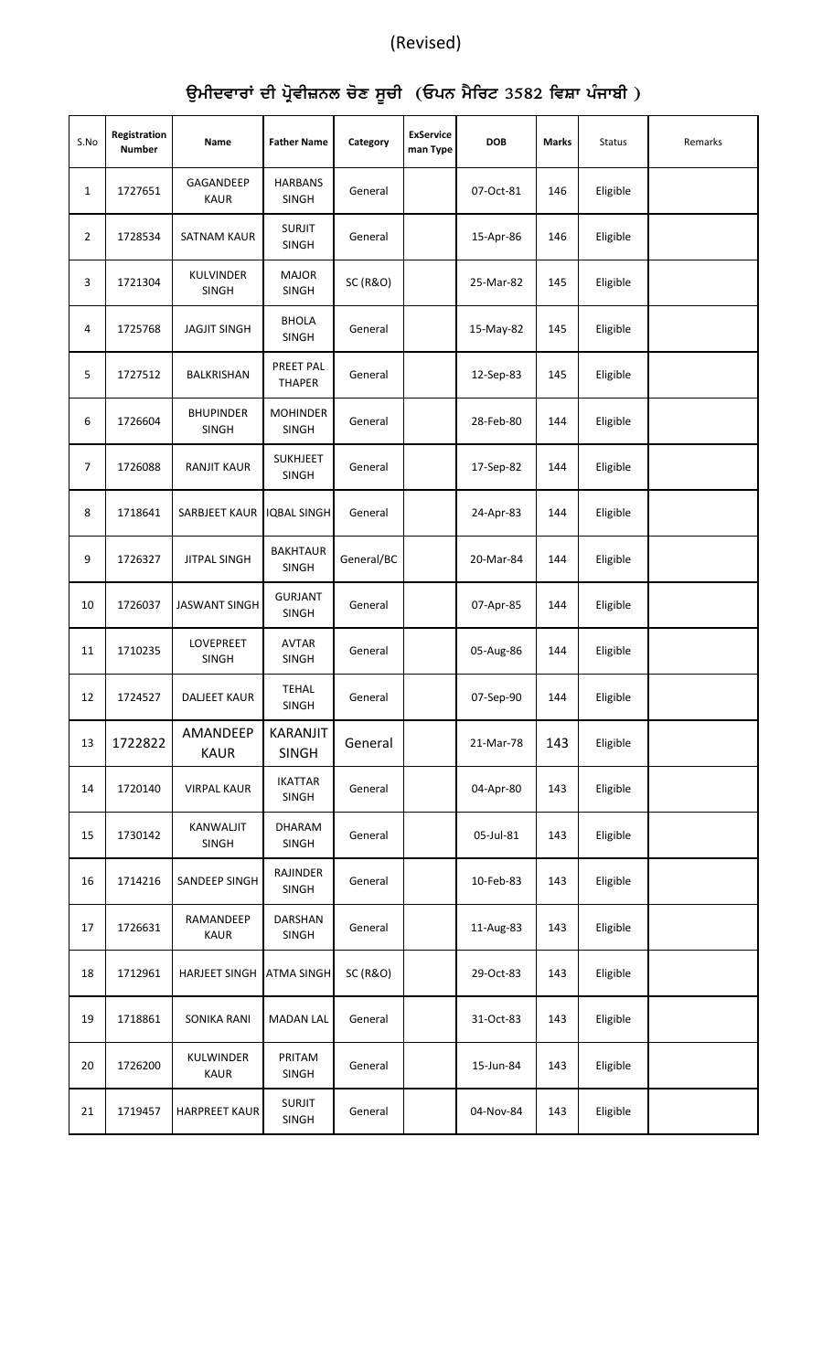# ਉਮੀਦਵਾਰਾਂ ਦੀ ਪ੍ਰੋਵੀਜ਼ਨਲ ਚੋਣ ਸੂਚੀ (ਓਪਨ ਮੈਰਿਟ 3582 ਵਿਸ਼ਾ ਪੰਜਾਬੀ )

| S.No           | Registration<br><b>Number</b> | Name                             | <b>Father Name</b>           | Category            | <b>ExService</b><br>man Type | <b>DOB</b> | <b>Marks</b> | <b>Status</b> | Remarks |
|----------------|-------------------------------|----------------------------------|------------------------------|---------------------|------------------------------|------------|--------------|---------------|---------|
| 1              | 1727651                       | GAGANDEEP<br><b>KAUR</b>         | <b>HARBANS</b><br>SINGH      | General             |                              | 07-Oct-81  | 146          | Eligible      |         |
| $\overline{2}$ | 1728534                       | SATNAM KAUR                      | <b>SURJIT</b><br>SINGH       | General             |                              | 15-Apr-86  | 146          | Eligible      |         |
| 3              | 1721304                       | <b>KULVINDER</b><br><b>SINGH</b> | <b>MAJOR</b><br><b>SINGH</b> | <b>SC (R&amp;O)</b> |                              | 25-Mar-82  | 145          | Eligible      |         |
| 4              | 1725768                       | <b>JAGJIT SINGH</b>              | <b>BHOLA</b><br>SINGH        | General             |                              | 15-May-82  | 145          | Eligible      |         |
| 5              | 1727512                       | BALKRISHAN                       | PREET PAL<br><b>THAPER</b>   | General             |                              | 12-Sep-83  | 145          | Eligible      |         |
| 6              | 1726604                       | <b>BHUPINDER</b><br>SINGH        | <b>MOHINDER</b><br>SINGH     | General             |                              | 28-Feb-80  | 144          | Eligible      |         |
| 7              | 1726088                       | <b>RANJIT KAUR</b>               | <b>SUKHJEET</b><br>SINGH     | General             |                              | 17-Sep-82  | 144          | Eligible      |         |
| 8              | 1718641                       | SARBJEET KAUR                    | <b>IQBAL SINGH</b>           | General             |                              | 24-Apr-83  | 144          | Eligible      |         |
| 9              | 1726327                       | JITPAL SINGH                     | <b>BAKHTAUR</b><br>SINGH     | General/BC          |                              | 20-Mar-84  | 144          | Eligible      |         |
| 10             | 1726037                       | <b>JASWANT SINGH</b>             | <b>GURJANT</b><br>SINGH      | General             |                              | 07-Apr-85  | 144          | Eligible      |         |
| 11             | 1710235                       | LOVEPREET<br><b>SINGH</b>        | <b>AVTAR</b><br>SINGH        | General             |                              | 05-Aug-86  | 144          | Eligible      |         |
| 12             | 1724527                       | <b>DALJEET KAUR</b>              | <b>TEHAL</b><br>SINGH        | General             |                              | 07-Sep-90  | 144          | Eligible      |         |
| 13             | 1722822                       | AMANDEEP<br><b>KAUR</b>          | KARANJIT<br><b>SINGH</b>     | General             |                              | 21-Mar-78  | 143          | Eligible      |         |
| 14             | 1720140                       | <b>VIRPAL KAUR</b>               | <b>IKATTAR</b><br>SINGH      | General             |                              | 04-Apr-80  | 143          | Eligible      |         |
| 15             | 1730142                       | KANWALJIT<br>SINGH               | DHARAM<br>SINGH              | General             |                              | 05-Jul-81  | 143          | Eligible      |         |
| 16             | 1714216                       | SANDEEP SINGH                    | RAJINDER<br>SINGH            | General             |                              | 10-Feb-83  | 143          | Eligible      |         |
| 17             | 1726631                       | RAMANDEEP<br>KAUR                | DARSHAN<br>SINGH             | General             |                              | 11-Aug-83  | 143          | Eligible      |         |
| 18             | 1712961                       | <b>HARJEET SINGH</b>             | <b>ATMA SINGH</b>            | <b>SC (R&amp;O)</b> |                              | 29-Oct-83  | 143          | Eligible      |         |
| 19             | 1718861                       | SONIKA RANI                      | <b>MADAN LAL</b>             | General             |                              | 31-Oct-83  | 143          | Eligible      |         |
| 20             | 1726200                       | KULWINDER<br>KAUR                | PRITAM<br>SINGH              | General             |                              | 15-Jun-84  | 143          | Eligible      |         |
| 21             | 1719457                       | <b>HARPREET KAUR</b>             | <b>SURJIT</b><br>SINGH       | General             |                              | 04-Nov-84  | 143          | Eligible      |         |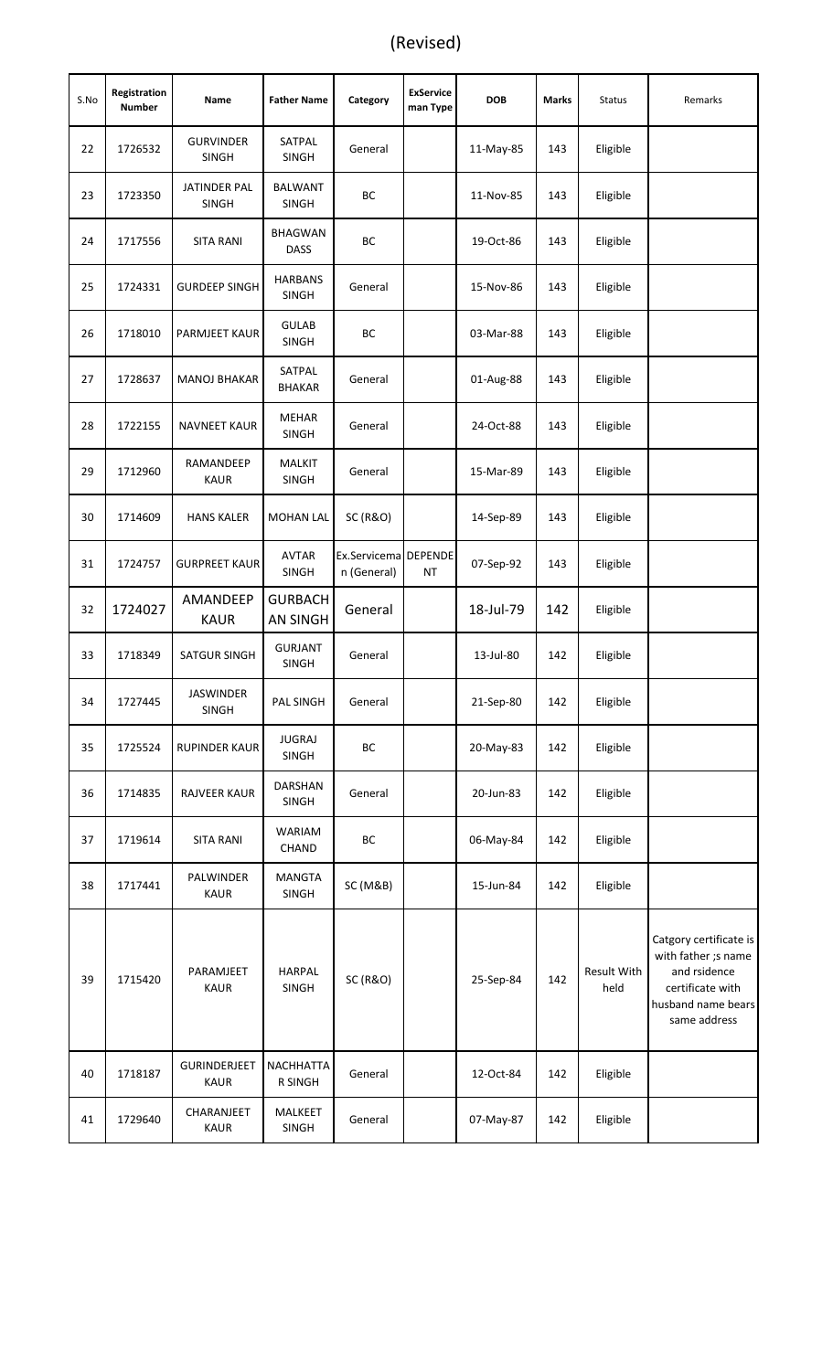| S.No | Registration<br><b>Number</b> | Name                        | <b>Father Name</b>                | Category                            | <b>ExService</b><br>man Type | <b>DOB</b> | Marks | <b>Status</b>       | Remarks                                                                                                                 |
|------|-------------------------------|-----------------------------|-----------------------------------|-------------------------------------|------------------------------|------------|-------|---------------------|-------------------------------------------------------------------------------------------------------------------------|
| 22   | 1726532                       | <b>GURVINDER</b><br>SINGH   | SATPAL<br>SINGH                   | General                             |                              | 11-May-85  | 143   | Eligible            |                                                                                                                         |
| 23   | 1723350                       | JATINDER PAL<br>SINGH       | <b>BALWANT</b><br>SINGH           | BC                                  |                              | 11-Nov-85  | 143   | Eligible            |                                                                                                                         |
| 24   | 1717556                       | <b>SITA RANI</b>            | <b>BHAGWAN</b><br><b>DASS</b>     | BC                                  |                              | 19-Oct-86  | 143   | Eligible            |                                                                                                                         |
| 25   | 1724331                       | <b>GURDEEP SINGH</b>        | <b>HARBANS</b><br>SINGH           | General                             |                              | 15-Nov-86  | 143   | Eligible            |                                                                                                                         |
| 26   | 1718010                       | PARMJEET KAUR               | <b>GULAB</b><br><b>SINGH</b>      | BC                                  |                              | 03-Mar-88  | 143   | Eligible            |                                                                                                                         |
| 27   | 1728637                       | <b>MANOJ BHAKAR</b>         | SATPAL<br>BHAKAR                  | General                             |                              | 01-Aug-88  | 143   | Eligible            |                                                                                                                         |
| 28   | 1722155                       | <b>NAVNEET KAUR</b>         | <b>MEHAR</b><br>SINGH             | General                             |                              | 24-Oct-88  | 143   | Eligible            |                                                                                                                         |
| 29   | 1712960                       | RAMANDEEP<br><b>KAUR</b>    | <b>MALKIT</b><br>SINGH            | General                             |                              | 15-Mar-89  | 143   | Eligible            |                                                                                                                         |
| 30   | 1714609                       | <b>HANS KALER</b>           | <b>MOHAN LAL</b>                  | <b>SC (R&amp;O)</b>                 |                              | 14-Sep-89  | 143   | Eligible            |                                                                                                                         |
| 31   | 1724757                       | <b>GURPREET KAUR</b>        | <b>AVTAR</b><br>SINGH             | Ex.Servicema DEPENDE<br>n (General) | NT                           | 07-Sep-92  | 143   | Eligible            |                                                                                                                         |
| 32   | 1724027                       | AMANDEEP<br><b>KAUR</b>     | <b>GURBACH</b><br><b>AN SINGH</b> | General                             |                              | 18-Jul-79  | 142   | Eligible            |                                                                                                                         |
| 33   | 1718349                       | SATGUR SINGH                | <b>GURJANT</b><br>SINGH           | General                             |                              | 13-Jul-80  | 142   | Eligible            |                                                                                                                         |
| 34   | 1727445                       | <b>JASWINDER</b><br>SINGH   | PAL SINGH                         | General                             |                              | 21-Sep-80  | 142   | Eligible            |                                                                                                                         |
| 35   | 1725524                       | RUPINDER KAUR               | <b>JUGRAJ</b><br>SINGH            | ВC                                  |                              | 20-May-83  | 142   | Eligible            |                                                                                                                         |
| 36   | 1714835                       | RAJVEER KAUR                | DARSHAN<br>SINGH                  | General                             |                              | 20-Jun-83  | 142   | Eligible            |                                                                                                                         |
| 37   | 1719614                       | <b>SITA RANI</b>            | WARIAM<br>CHAND                   | ВC                                  |                              | 06-May-84  | 142   | Eligible            |                                                                                                                         |
| 38   | 1717441                       | PALWINDER<br>KAUR           | <b>MANGTA</b><br>SINGH            | <b>SC (M&amp;B)</b>                 |                              | 15-Jun-84  | 142   | Eligible            |                                                                                                                         |
| 39   | 1715420                       | PARAMJEET<br><b>KAUR</b>    | <b>HARPAL</b><br>SINGH            | <b>SC (R&amp;O)</b>                 |                              | 25-Sep-84  | 142   | Result With<br>held | Catgory certificate is<br>with father ;s name<br>and rsidence<br>certificate with<br>husband name bears<br>same address |
| 40   | 1718187                       | <b>GURINDERJEET</b><br>KAUR | NACHHATTA<br>R SINGH              | General                             |                              | 12-Oct-84  | 142   | Eligible            |                                                                                                                         |
| 41   | 1729640                       | CHARANJEET<br>KAUR          | MALKEET<br>SINGH                  | General                             |                              | 07-May-87  | 142   | Eligible            |                                                                                                                         |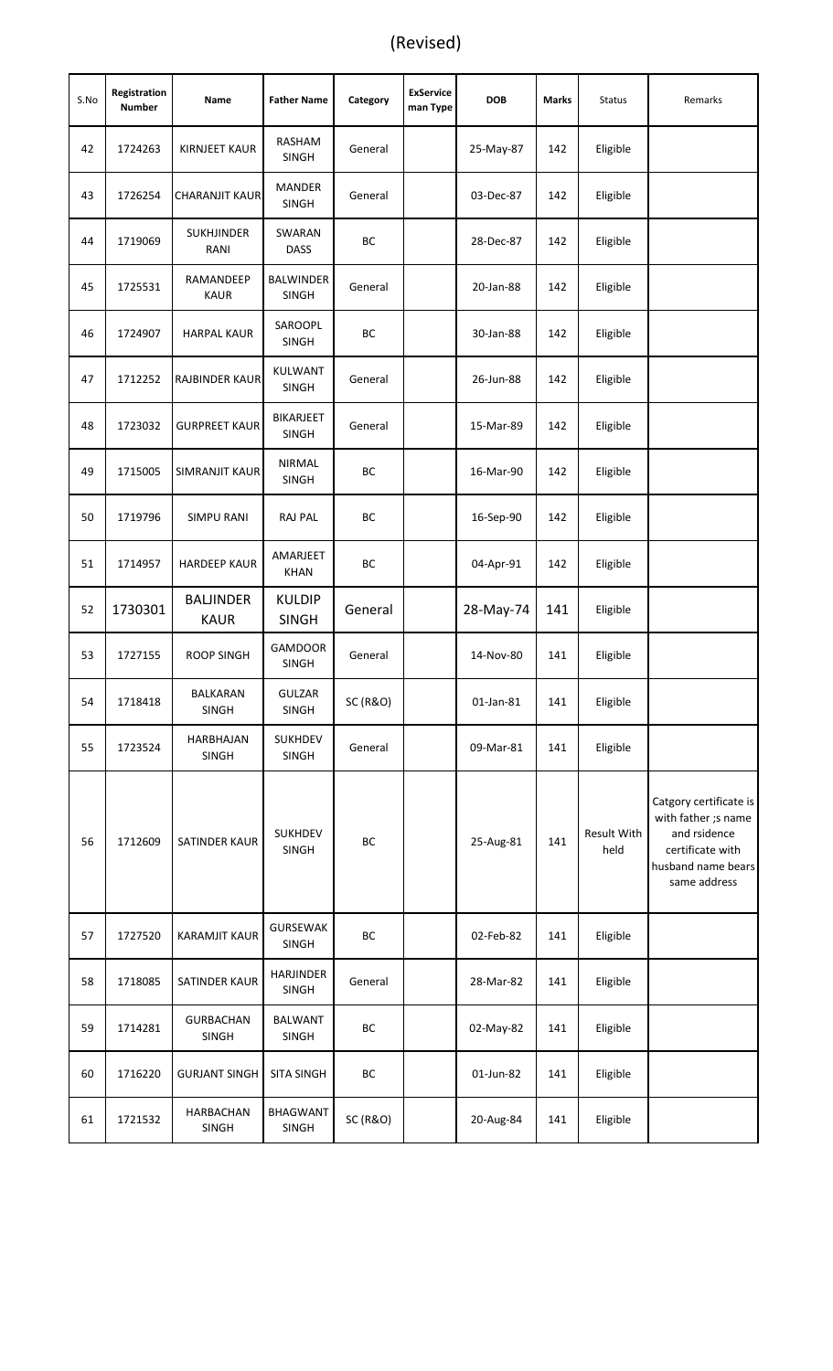| S.No | Registration<br><b>Number</b> | Name                            | <b>Father Name</b>            | Category            | <b>ExService</b><br>man Type | <b>DOB</b> | <b>Marks</b> | <b>Status</b>       | Remarks                                                                                                                 |
|------|-------------------------------|---------------------------------|-------------------------------|---------------------|------------------------------|------------|--------------|---------------------|-------------------------------------------------------------------------------------------------------------------------|
| 42   | 1724263                       | KIRNJEET KAUR                   | RASHAM<br>SINGH               | General             |                              | 25-May-87  | 142          | Eligible            |                                                                                                                         |
| 43   | 1726254                       | <b>CHARANJIT KAUR</b>           | <b>MANDER</b><br>SINGH        | General             |                              | 03-Dec-87  | 142          | Eligible            |                                                                                                                         |
| 44   | 1719069                       | <b>SUKHJINDER</b><br>RANI       | <b>SWARAN</b><br>DASS         | BC                  |                              | 28-Dec-87  | 142          | Eligible            |                                                                                                                         |
| 45   | 1725531                       | RAMANDEEP<br><b>KAUR</b>        | BALWINDER<br>SINGH            | General             |                              | 20-Jan-88  | 142          | Eligible            |                                                                                                                         |
| 46   | 1724907                       | <b>HARPAL KAUR</b>              | SAROOPL<br>SINGH              | ВC                  |                              | 30-Jan-88  | 142          | Eligible            |                                                                                                                         |
| 47   | 1712252                       | RAJBINDER KAUR                  | KULWANT<br><b>SINGH</b>       | General             |                              | 26-Jun-88  | 142          | Eligible            |                                                                                                                         |
| 48   | 1723032                       | <b>GURPREET KAUR</b>            | <b>BIKARJEET</b><br>SINGH     | General             |                              | 15-Mar-89  | 142          | Eligible            |                                                                                                                         |
| 49   | 1715005                       | SIMRANJIT KAUR                  | <b>NIRMAL</b><br>SINGH        | BC                  |                              | 16-Mar-90  | 142          | Eligible            |                                                                                                                         |
| 50   | 1719796                       | <b>SIMPU RANI</b>               | <b>RAJ PAL</b>                | ВC                  |                              | 16-Sep-90  | 142          | Eligible            |                                                                                                                         |
| 51   | 1714957                       | <b>HARDEEP KAUR</b>             | AMARJEET<br><b>KHAN</b>       | BC                  |                              | 04-Apr-91  | 142          | Eligible            |                                                                                                                         |
| 52   | 1730301                       | <b>BALJINDER</b><br><b>KAUR</b> | <b>KULDIP</b><br><b>SINGH</b> | General             |                              | 28-May-74  | 141          | Eligible            |                                                                                                                         |
| 53   | 1727155                       | <b>ROOP SINGH</b>               | GAMDOOR<br>SINGH              | General             |                              | 14-Nov-80  | 141          | Eligible            |                                                                                                                         |
| 54   | 1718418                       | BALKARAN<br>SINGH               | GULZAR<br><b>SINGH</b>        | <b>SC (R&amp;O)</b> |                              | 01-Jan-81  | 141          | Eligible            |                                                                                                                         |
| 55   | 1723524                       | HARBHAJAN<br>SINGH              | <b>SUKHDEV</b><br>SINGH       | General             |                              | 09-Mar-81  | 141          | Eligible            |                                                                                                                         |
| 56   | 1712609                       | SATINDER KAUR                   | <b>SUKHDEV</b><br>SINGH       | BC                  |                              | 25-Aug-81  | 141          | Result With<br>held | Catgory certificate is<br>with father ;s name<br>and rsidence<br>certificate with<br>husband name bears<br>same address |
| 57   | 1727520                       | <b>KARAMJIT KAUR</b>            | <b>GURSEWAK</b><br>SINGH      | BC                  |                              | 02-Feb-82  | 141          | Eligible            |                                                                                                                         |
| 58   | 1718085                       | SATINDER KAUR                   | <b>HARJINDER</b><br>SINGH     | General             |                              | 28-Mar-82  | 141          | Eligible            |                                                                                                                         |
| 59   | 1714281                       | <b>GURBACHAN</b><br>SINGH       | <b>BALWANT</b><br>SINGH       | BC                  |                              | 02-May-82  | 141          | Eligible            |                                                                                                                         |
| 60   | 1716220                       | <b>GURJANT SINGH</b>            | <b>SITA SINGH</b>             | BC                  |                              | 01-Jun-82  | 141          | Eligible            |                                                                                                                         |
| 61   | 1721532                       | HARBACHAN<br>SINGH              | BHAGWANT<br>SINGH             | <b>SC (R&amp;O)</b> |                              | 20-Aug-84  | 141          | Eligible            |                                                                                                                         |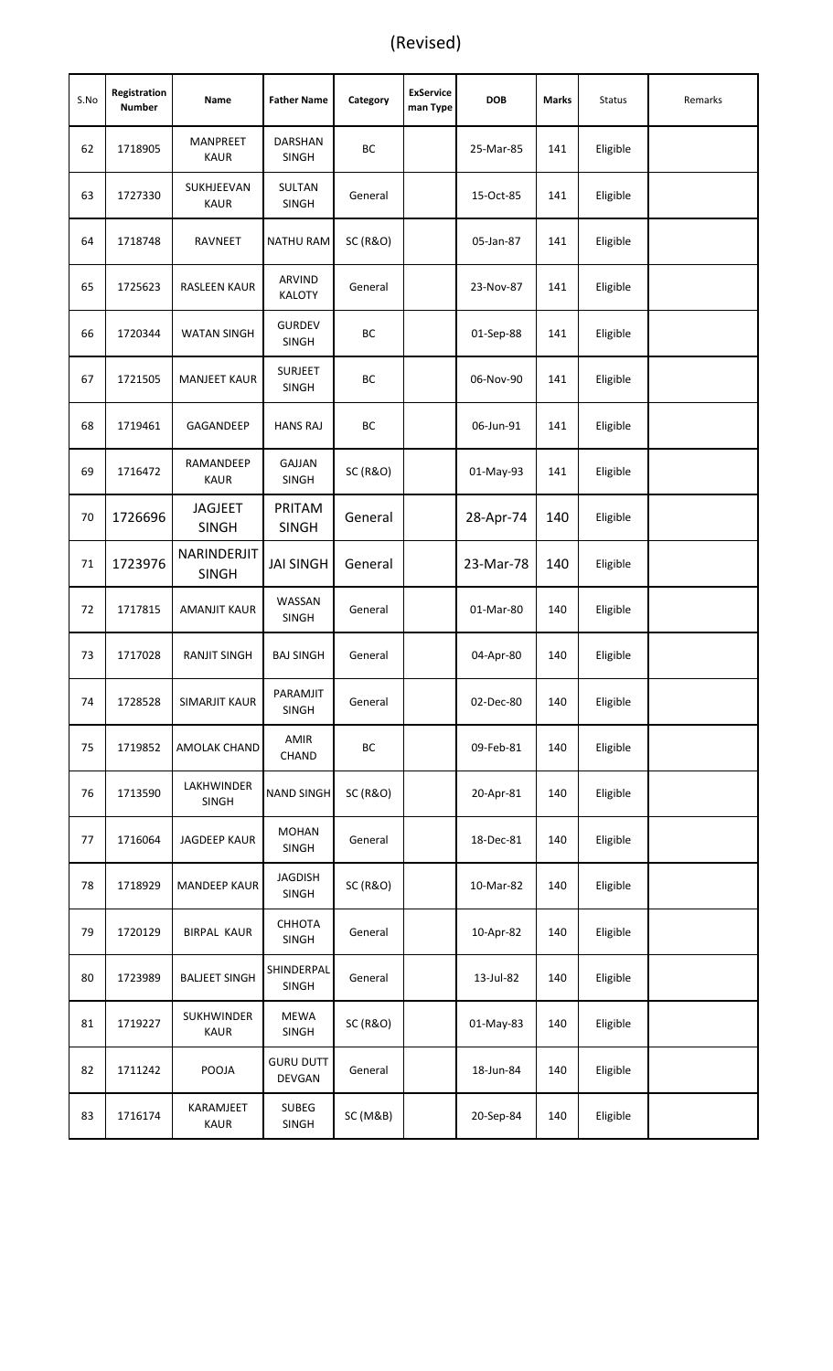| S.No | Registration<br><b>Number</b> | Name                           | <b>Father Name</b>             | Category            | <b>ExService</b><br>man Type | <b>DOB</b> | Marks | <b>Status</b> | Remarks |
|------|-------------------------------|--------------------------------|--------------------------------|---------------------|------------------------------|------------|-------|---------------|---------|
| 62   | 1718905                       | <b>MANPREET</b><br><b>KAUR</b> | <b>DARSHAN</b><br>SINGH        | ВC                  |                              | 25-Mar-85  | 141   | Eligible      |         |
| 63   | 1727330                       | SUKHJEEVAN<br>KAUR             | <b>SULTAN</b><br>SINGH         | General             |                              | 15-Oct-85  | 141   | Eligible      |         |
| 64   | 1718748                       | RAVNEET                        | <b>NATHU RAM</b>               | <b>SC (R&amp;O)</b> |                              | 05-Jan-87  | 141   | Eligible      |         |
| 65   | 1725623                       | RASLEEN KAUR                   | <b>ARVIND</b><br>KALOTY        | General             |                              | 23-Nov-87  | 141   | Eligible      |         |
| 66   | 1720344                       | <b>WATAN SINGH</b>             | <b>GURDEV</b><br>SINGH         | ВC                  |                              | 01-Sep-88  | 141   | Eligible      |         |
| 67   | 1721505                       | <b>MANJEET KAUR</b>            | <b>SURJEET</b><br><b>SINGH</b> | BC                  |                              | 06-Nov-90  | 141   | Eligible      |         |
| 68   | 1719461                       | <b>GAGANDEEP</b>               | <b>HANS RAJ</b>                | BC                  |                              | 06-Jun-91  | 141   | Eligible      |         |
| 69   | 1716472                       | RAMANDEEP<br><b>KAUR</b>       | GAJJAN<br>SINGH                | <b>SC (R&amp;O)</b> |                              | 01-May-93  | 141   | Eligible      |         |
| 70   | 1726696                       | <b>JAGJEET</b><br><b>SINGH</b> | PRITAM<br><b>SINGH</b>         | General             |                              | 28-Apr-74  | 140   | Eligible      |         |
| 71   | 1723976                       | NARINDERJIT<br><b>SINGH</b>    | <b>JAI SINGH</b>               | General             |                              | 23-Mar-78  | 140   | Eligible      |         |
| 72   | 1717815                       | <b>AMANJIT KAUR</b>            | WASSAN<br><b>SINGH</b>         | General             |                              | 01-Mar-80  | 140   | Eligible      |         |
| 73   | 1717028                       | <b>RANJIT SINGH</b>            | <b>BAJ SINGH</b>               | General             |                              | 04-Apr-80  | 140   | Eligible      |         |
| 74   | 1728528                       | SIMARJIT KAUR                  | PARAMJIT<br>SINGH              | General             |                              | 02-Dec-80  | 140   | Eligible      |         |
| 75   | 1719852                       | AMOLAK CHAND                   | AMIR<br>CHAND                  | ВC                  |                              | 09-Feb-81  | 140   | Eligible      |         |
| 76   | 1713590                       | LAKHWINDER<br>SINGH            | <b>NAND SINGH</b>              | <b>SC (R&amp;O)</b> |                              | 20-Apr-81  | 140   | Eligible      |         |
| 77   | 1716064                       | <b>JAGDEEP KAUR</b>            | MOHAN<br>SINGH                 | General             |                              | 18-Dec-81  | 140   | Eligible      |         |
| 78   | 1718929                       | <b>MANDEEP KAUR</b>            | <b>JAGDISH</b><br>SINGH        | <b>SC (R&amp;O)</b> |                              | 10-Mar-82  | 140   | Eligible      |         |
| 79   | 1720129                       | <b>BIRPAL KAUR</b>             | СННОТА<br>SINGH                | General             |                              | 10-Apr-82  | 140   | Eligible      |         |
| 80   | 1723989                       | <b>BALJEET SINGH</b>           | SHINDERPAL<br>SINGH            | General             |                              | 13-Jul-82  | 140   | Eligible      |         |
| 81   | 1719227                       | SUKHWINDER<br>KAUR             | <b>MEWA</b><br>SINGH           | <b>SC (R&amp;O)</b> |                              | 01-May-83  | 140   | Eligible      |         |
| 82   | 1711242                       | POOJA                          | <b>GURU DUTT</b><br>DEVGAN     | General             |                              | 18-Jun-84  | 140   | Eligible      |         |
| 83   | 1716174                       | KARAMJEET<br>KAUR              | <b>SUBEG</b><br>SINGH          | SC (M&B)            |                              | 20-Sep-84  | 140   | Eligible      |         |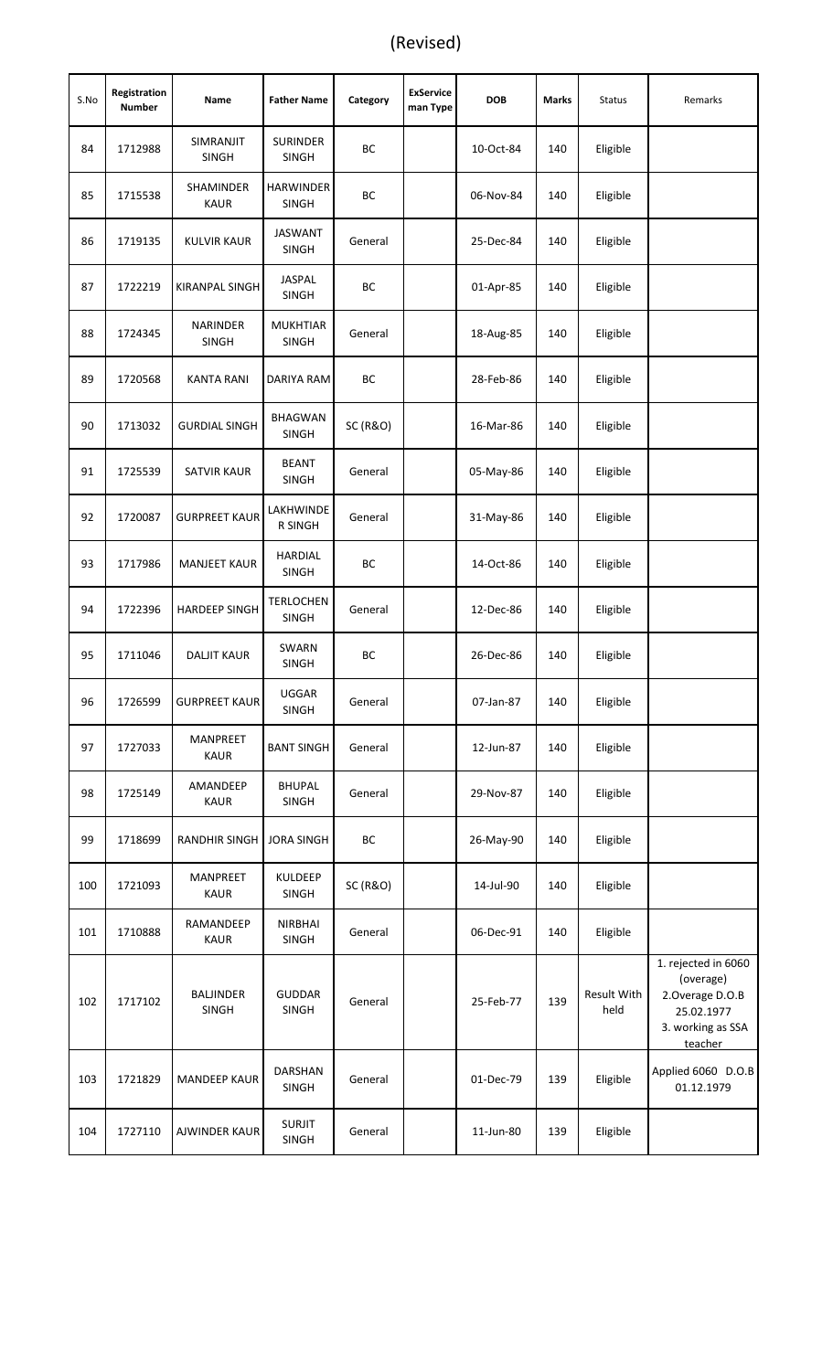| S.No | Registration<br><b>Number</b> | Name                      | <b>Father Name</b>               | Category            | <b>ExService</b><br>man Type | <b>DOB</b> | Marks | <b>Status</b>       | Remarks                                                                                            |
|------|-------------------------------|---------------------------|----------------------------------|---------------------|------------------------------|------------|-------|---------------------|----------------------------------------------------------------------------------------------------|
| 84   | 1712988                       | SIMRANJIT<br><b>SINGH</b> | <b>SURINDER</b><br><b>SINGH</b>  | ВC                  |                              | 10-Oct-84  | 140   | Eligible            |                                                                                                    |
| 85   | 1715538                       | SHAMINDER<br><b>KAUR</b>  | <b>HARWINDER</b><br>SINGH        | BC                  |                              | 06-Nov-84  | 140   | Eligible            |                                                                                                    |
| 86   | 1719135                       | <b>KULVIR KAUR</b>        | <b>JASWANT</b><br><b>SINGH</b>   | General             |                              | 25-Dec-84  | 140   | Eligible            |                                                                                                    |
| 87   | 1722219                       | KIRANPAL SINGH            | <b>JASPAL</b><br><b>SINGH</b>    | BC                  |                              | 01-Apr-85  | 140   | Eligible            |                                                                                                    |
| 88   | 1724345                       | <b>NARINDER</b><br>SINGH  | <b>MUKHTIAR</b><br><b>SINGH</b>  | General             |                              | 18-Aug-85  | 140   | Eligible            |                                                                                                    |
| 89   | 1720568                       | <b>KANTA RANI</b>         | DARIYA RAM                       | BC                  |                              | 28-Feb-86  | 140   | Eligible            |                                                                                                    |
| 90   | 1713032                       | <b>GURDIAL SINGH</b>      | <b>BHAGWAN</b><br><b>SINGH</b>   | <b>SC (R&amp;O)</b> |                              | 16-Mar-86  | 140   | Eligible            |                                                                                                    |
| 91   | 1725539                       | <b>SATVIR KAUR</b>        | <b>BEANT</b><br><b>SINGH</b>     | General             |                              | 05-May-86  | 140   | Eligible            |                                                                                                    |
| 92   | 1720087                       | <b>GURPREET KAUR</b>      | LAKHWINDE<br>R SINGH             | General             |                              | 31-May-86  | 140   | Eligible            |                                                                                                    |
| 93   | 1717986                       | <b>MANJEET KAUR</b>       | <b>HARDIAL</b><br>SINGH          | BC                  |                              | 14-Oct-86  | 140   | Eligible            |                                                                                                    |
| 94   | 1722396                       | <b>HARDEEP SINGH</b>      | <b>TERLOCHEN</b><br><b>SINGH</b> | General             |                              | 12-Dec-86  | 140   | Eligible            |                                                                                                    |
| 95   | 1711046                       | <b>DALJIT KAUR</b>        | SWARN<br><b>SINGH</b>            | ВC                  |                              | 26-Dec-86  | 140   | Eligible            |                                                                                                    |
| 96   | 1726599                       | <b>GURPREET KAUR</b>      | <b>UGGAR</b><br>SINGH            | General             |                              | 07-Jan-87  | 140   | Eligible            |                                                                                                    |
| 97   | 1727033                       | MANPREET<br><b>KAUR</b>   | <b>BANT SINGH</b>                | General             |                              | 12-Jun-87  | 140   | Eligible            |                                                                                                    |
| 98   | 1725149                       | AMANDEEP<br><b>KAUR</b>   | <b>BHUPAL</b><br><b>SINGH</b>    | General             |                              | 29-Nov-87  | 140   | Eligible            |                                                                                                    |
| 99   | 1718699                       | <b>RANDHIR SINGH</b>      | <b>JORA SINGH</b>                | BC                  |                              | 26-May-90  | 140   | Eligible            |                                                                                                    |
| 100  | 1721093                       | MANPREET<br>KAUR          | <b>KULDEEP</b><br>SINGH          | <b>SC (R&amp;O)</b> |                              | 14-Jul-90  | 140   | Eligible            |                                                                                                    |
| 101  | 1710888                       | RAMANDEEP<br><b>KAUR</b>  | <b>NIRBHAI</b><br>SINGH          | General             |                              | 06-Dec-91  | 140   | Eligible            |                                                                                                    |
| 102  | 1717102                       | <b>BALJINDER</b><br>SINGH | <b>GUDDAR</b><br>SINGH           | General             |                              | 25-Feb-77  | 139   | Result With<br>held | 1. rejected in 6060<br>(overage)<br>2. Overage D.O.B<br>25.02.1977<br>3. working as SSA<br>teacher |
| 103  | 1721829                       | <b>MANDEEP KAUR</b>       | DARSHAN<br><b>SINGH</b>          | General             |                              | 01-Dec-79  | 139   | Eligible            | Applied 6060 D.O.B<br>01.12.1979                                                                   |
| 104  | 1727110                       | AJWINDER KAUR             | <b>SURJIT</b><br>SINGH           | General             |                              | 11-Jun-80  | 139   | Eligible            |                                                                                                    |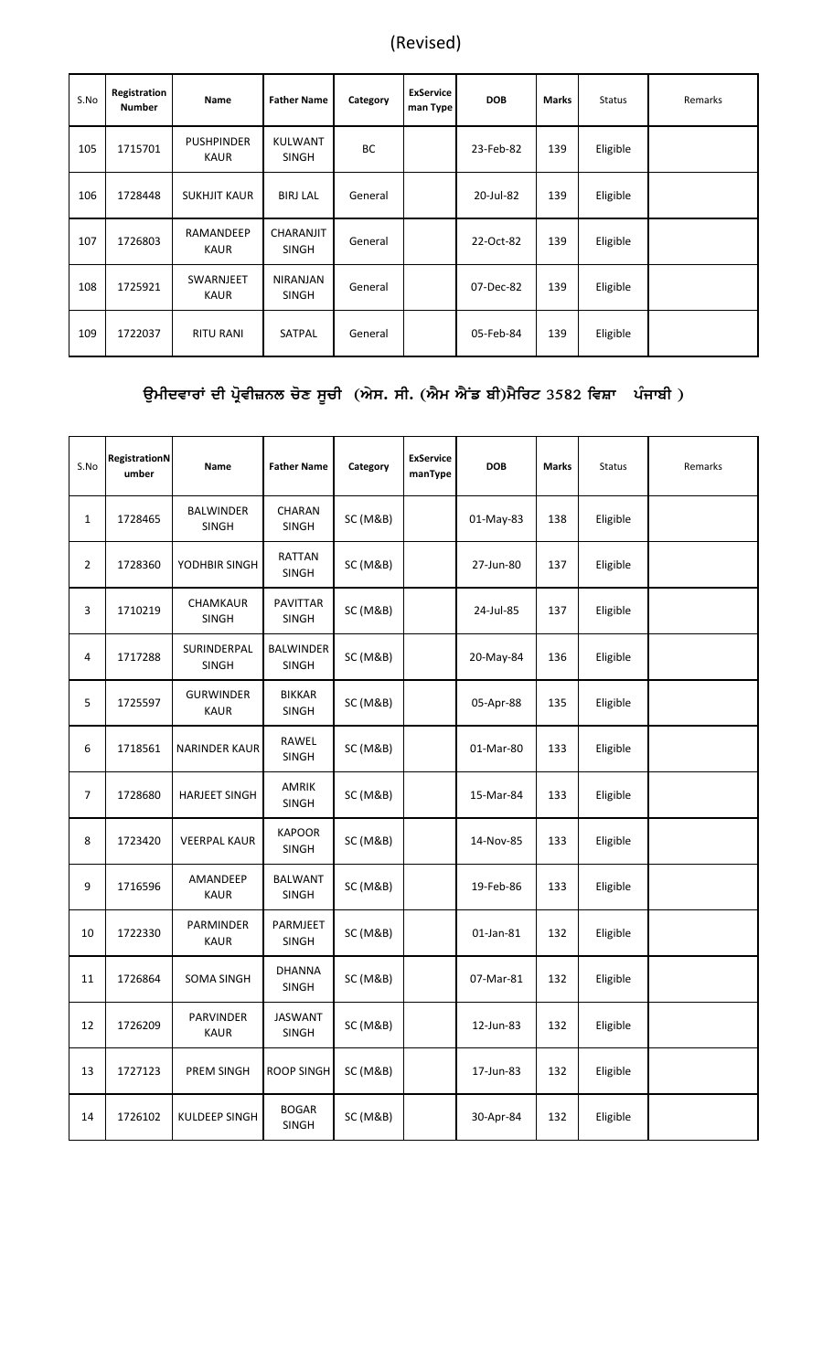| S.No | Registration<br><b>Number</b> | Name                             | <b>Father Name</b>              | Category | <b>ExService</b><br>man Type | <b>DOB</b> | Marks | <b>Status</b> | Remarks |
|------|-------------------------------|----------------------------------|---------------------------------|----------|------------------------------|------------|-------|---------------|---------|
| 105  | 1715701                       | <b>PUSHPINDER</b><br><b>KAUR</b> | <b>KULWANT</b><br>SINGH         | ВC       |                              | 23-Feb-82  | 139   | Eligible      |         |
| 106  | 1728448                       | <b>SUKHJIT KAUR</b>              | <b>BIRJ LAL</b>                 | General  |                              | 20-Jul-82  | 139   | Eligible      |         |
| 107  | 1726803                       | RAMANDEEP<br><b>KAUR</b>         | CHARANJIT<br>SINGH              | General  |                              | 22-Oct-82  | 139   | Eligible      |         |
| 108  | 1725921                       | SWARNJEET<br><b>KAUR</b>         | <b>NIRANJAN</b><br><b>SINGH</b> | General  |                              | 07-Dec-82  | 139   | Eligible      |         |
| 109  | 1722037                       | <b>RITU RANI</b>                 | SATPAL                          | General  |                              | 05-Feb-84  | 139   | Eligible      |         |

# ਉਮੀਦਵਾਰਾਂ ਦੀ ਪ੍ਰੋਵੀਜ਼ਨਲ ਚੋਣ ਸੂਚੀ (ਐਸ. ਸੀ. (ਐਮ ਐਂਡ ਬੀ)ਮੈਰਿਟ 3582 ਵਿਸ਼ਾ ਪੰਜਾਬੀ )

| S.No           | RegistrationN<br>umber | Name                             | <b>Father Name</b>               | Category            | <b>ExService</b><br>manType | <b>DOB</b> | <b>Marks</b> | <b>Status</b> | Remarks |
|----------------|------------------------|----------------------------------|----------------------------------|---------------------|-----------------------------|------------|--------------|---------------|---------|
| 1              | 1728465                | <b>BALWINDER</b><br><b>SINGH</b> | CHARAN<br><b>SINGH</b>           | SC (M&B)            |                             | 01-May-83  | 138          | Eligible      |         |
| $\overline{2}$ | 1728360                | YODHBIR SINGH                    | RATTAN<br><b>SINGH</b>           | SC (M&B)            |                             | 27-Jun-80  | 137          | Eligible      |         |
| 3              | 1710219                | CHAMKAUR<br><b>SINGH</b>         | PAVITTAR<br>SINGH                | SC (M&B)            |                             | 24-Jul-85  | 137          | Eligible      |         |
| 4              | 1717288                | SURINDERPAL<br><b>SINGH</b>      | <b>BALWINDER</b><br><b>SINGH</b> | SC (M&B)            |                             | 20-May-84  | 136          | Eligible      |         |
| 5              | 1725597                | <b>GURWINDER</b><br><b>KAUR</b>  | <b>BIKKAR</b><br>SINGH           | SC (M&B)            |                             | 05-Apr-88  | 135          | Eligible      |         |
| 6              | 1718561                | <b>NARINDER KAUR</b>             | RAWEL<br><b>SINGH</b>            | SC (M&B)            |                             | 01-Mar-80  | 133          | Eligible      |         |
| 7              | 1728680                | <b>HARJEET SINGH</b>             | <b>AMRIK</b><br><b>SINGH</b>     | SC (M&B)            |                             | 15-Mar-84  | 133          | Eligible      |         |
| 8              | 1723420                | <b>VEERPAL KAUR</b>              | <b>KAPOOR</b><br><b>SINGH</b>    | SC (M&B)            |                             | 14-Nov-85  | 133          | Eligible      |         |
| 9              | 1716596                | AMANDEEP<br><b>KAUR</b>          | <b>BALWANT</b><br><b>SINGH</b>   | <b>SC (M&amp;B)</b> |                             | 19-Feb-86  | 133          | Eligible      |         |
| 10             | 1722330                | PARMINDER<br>KAUR                | PARMJEET<br><b>SINGH</b>         | SC (M&B)            |                             | 01-Jan-81  | 132          | Eligible      |         |
| 11             | 1726864                | SOMA SINGH                       | <b>DHANNA</b><br>SINGH           | SC (M&B)            |                             | 07-Mar-81  | 132          | Eligible      |         |
| 12             | 1726209                | PARVINDER<br><b>KAUR</b>         | <b>JASWANT</b><br><b>SINGH</b>   | SC (M&B)            |                             | 12-Jun-83  | 132          | Eligible      |         |
| 13             | 1727123                | <b>PREM SINGH</b>                | ROOP SINGH                       | SC (M&B)            |                             | 17-Jun-83  | 132          | Eligible      |         |
| 14             | 1726102                | KULDEEP SINGH                    | <b>BOGAR</b><br>SINGH            | SC (M&B)            |                             | 30-Apr-84  | 132          | Eligible      |         |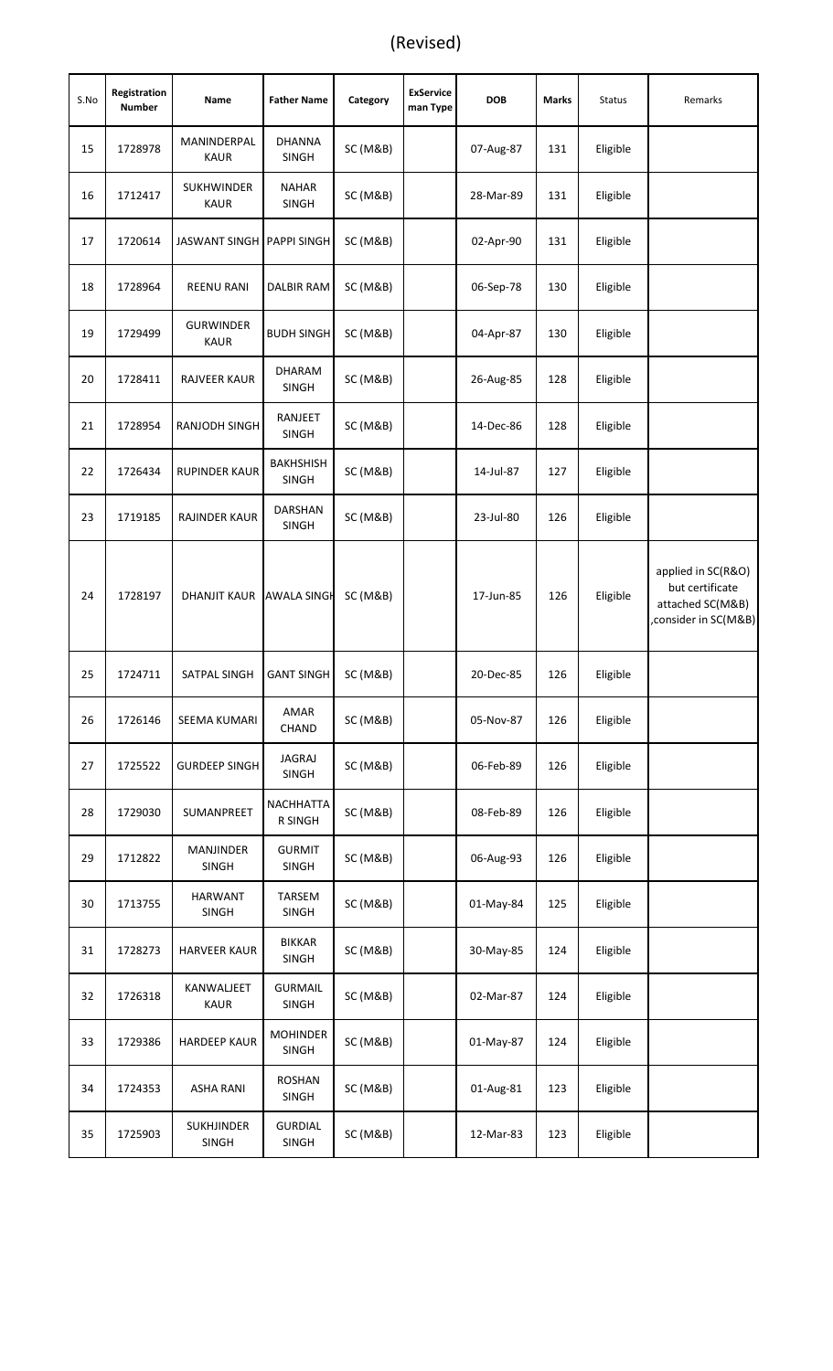| S.No | Registration<br><b>Number</b> | Name                            | <b>Father Name</b>          | Category            | <b>ExService</b><br>man Type | <b>DOB</b> | Marks | <b>Status</b> | Remarks                                                                            |
|------|-------------------------------|---------------------------------|-----------------------------|---------------------|------------------------------|------------|-------|---------------|------------------------------------------------------------------------------------|
| 15   | 1728978                       | MANINDERPAL<br><b>KAUR</b>      | DHANNA<br>SINGH             | SC (M&B)            |                              | 07-Aug-87  | 131   | Eligible      |                                                                                    |
| 16   | 1712417                       | SUKHWINDER<br>KAUR              | <b>NAHAR</b><br>SINGH       | SC (M&B)            |                              | 28-Mar-89  | 131   | Eligible      |                                                                                    |
| 17   | 1720614                       | JASWANT SINGH                   | <b>PAPPI SINGH</b>          | SC (M&B)            |                              | 02-Apr-90  | 131   | Eligible      |                                                                                    |
| 18   | 1728964                       | <b>REENU RANI</b>               | <b>DALBIR RAM</b>           | SC (M&B)            |                              | 06-Sep-78  | 130   | Eligible      |                                                                                    |
| 19   | 1729499                       | <b>GURWINDER</b><br><b>KAUR</b> | <b>BUDH SINGH</b>           | SC (M&B)            |                              | 04-Apr-87  | 130   | Eligible      |                                                                                    |
| 20   | 1728411                       | RAJVEER KAUR                    | <b>DHARAM</b><br>SINGH      | SC (M&B)            |                              | 26-Aug-85  | 128   | Eligible      |                                                                                    |
| 21   | 1728954                       | RANJODH SINGH                   | RANJEET<br><b>SINGH</b>     | SC (M&B)            |                              | 14-Dec-86  | 128   | Eligible      |                                                                                    |
| 22   | 1726434                       | <b>RUPINDER KAUR</b>            | <b>BAKHSHISH</b><br>SINGH   | SC (M&B)            |                              | 14-Jul-87  | 127   | Eligible      |                                                                                    |
| 23   | 1719185                       | <b>RAJINDER KAUR</b>            | DARSHAN<br>SINGH            | SC (M&B)            |                              | 23-Jul-80  | 126   | Eligible      |                                                                                    |
| 24   | 1728197                       | <b>DHANJIT KAUR</b>             | AWALA SINGH                 | SC (M&B)            |                              | 17-Jun-85  | 126   | Eligible      | applied in SC(R&O)<br>but certificate<br>attached SC(M&B)<br>, consider in SC(M&B) |
| 25   | 1724711                       | SATPAL SINGH                    | <b>GANT SINGH</b>           | SC (M&B)            |                              | 20-Dec-85  | 126   | Eligible      |                                                                                    |
| 26   | 1726146                       | SEEMA KUMARI                    | AMAR<br>CHAND               | SC (M&B)            |                              | 05-Nov-87  | 126   | Eligible      |                                                                                    |
| 27   | 1725522                       | <b>GURDEEP SINGH</b>            | <b>JAGRAJ</b><br>SINGH      | SC (M&B)            |                              | 06-Feb-89  | 126   | Eligible      |                                                                                    |
| 28   | 1729030                       | SUMANPREET                      | <b>NACHHATTA</b><br>R SINGH | SC (M&B)            |                              | 08-Feb-89  | 126   | Eligible      |                                                                                    |
| 29   | 1712822                       | MANJINDER<br>SINGH              | <b>GURMIT</b><br>SINGH      | SC (M&B)            |                              | 06-Aug-93  | 126   | Eligible      |                                                                                    |
| 30   | 1713755                       | <b>HARWANT</b><br>SINGH         | TARSEM<br>SINGH             | <b>SC (M&amp;B)</b> |                              | 01-May-84  | 125   | Eligible      |                                                                                    |
| 31   | 1728273                       | <b>HARVEER KAUR</b>             | <b>BIKKAR</b><br>SINGH      | SC (M&B)            |                              | 30-May-85  | 124   | Eligible      |                                                                                    |
| 32   | 1726318                       | KANWALJEET<br>KAUR              | <b>GURMAIL</b><br>SINGH     | SC (M&B)            |                              | 02-Mar-87  | 124   | Eligible      |                                                                                    |
| 33   | 1729386                       | <b>HARDEEP KAUR</b>             | <b>MOHINDER</b><br>SINGH    | SC (M&B)            |                              | 01-May-87  | 124   | Eligible      |                                                                                    |
| 34   | 1724353                       | <b>ASHA RANI</b>                | ROSHAN<br>SINGH             | SC (M&B)            |                              | 01-Aug-81  | 123   | Eligible      |                                                                                    |
| 35   | 1725903                       | <b>SUKHJINDER</b><br>SINGH      | <b>GURDIAL</b><br>SINGH     | SC (M&B)            |                              | 12-Mar-83  | 123   | Eligible      |                                                                                    |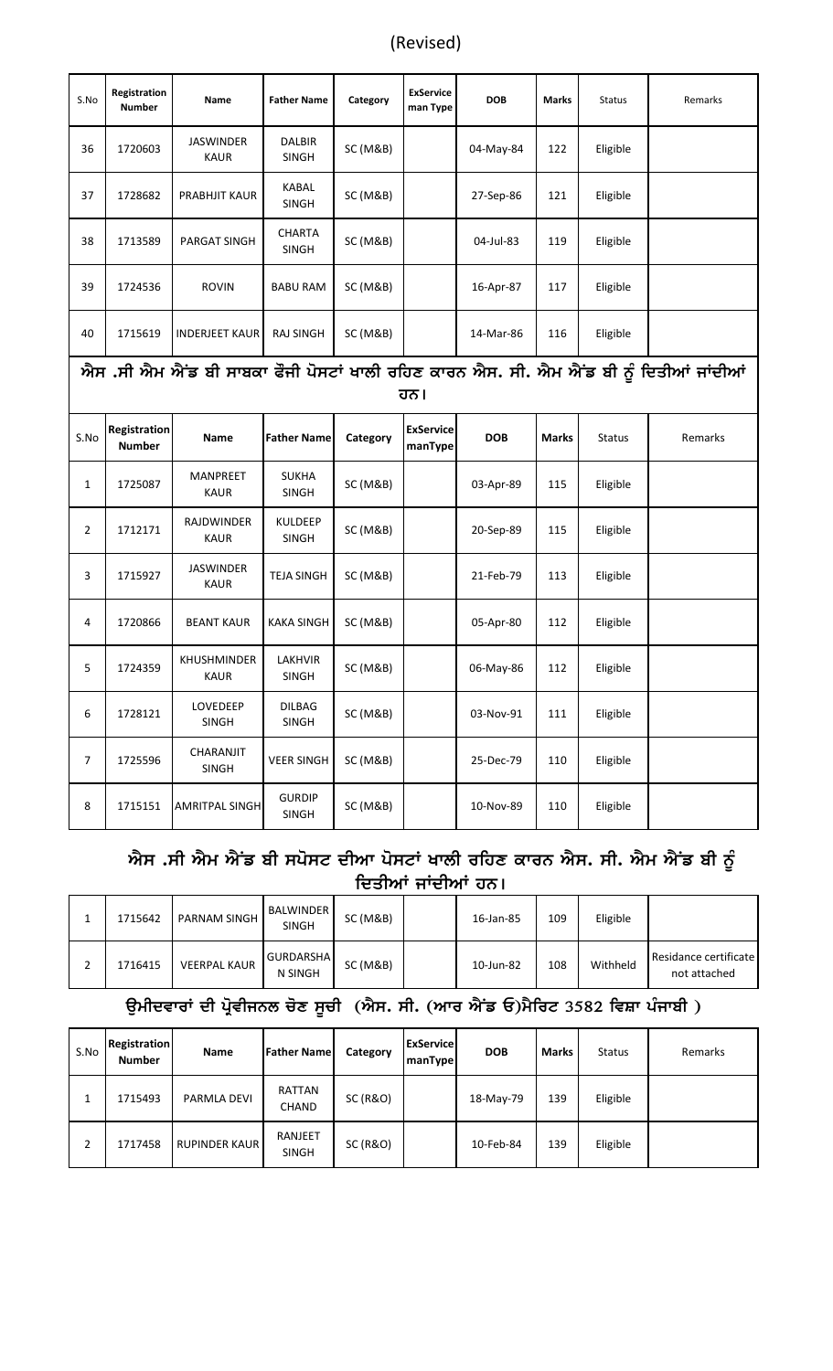| S.No           | Registration<br>Number        | Name                            | <b>Father Name</b>      | Category            | <b>ExService</b><br>man Type | <b>DOB</b> | Marks        | <b>Status</b> | Remarks                                                                                |
|----------------|-------------------------------|---------------------------------|-------------------------|---------------------|------------------------------|------------|--------------|---------------|----------------------------------------------------------------------------------------|
| 36             | 1720603                       | <b>JASWINDER</b><br><b>KAUR</b> | DALBIR<br>SINGH         | SC (M&B)            |                              | 04-May-84  | 122          | Eligible      |                                                                                        |
| 37             | 1728682                       | PRABHJIT KAUR                   | <b>KABAL</b><br>SINGH   | SC (M&B)            |                              | 27-Sep-86  | 121          | Eligible      |                                                                                        |
| 38             | 1713589                       | PARGAT SINGH                    | <b>CHARTA</b><br>SINGH  | SC (M&B)            |                              | 04-Jul-83  | 119          | Eligible      |                                                                                        |
| 39             | 1724536                       | <b>ROVIN</b>                    | <b>BABU RAM</b>         | SC (M&B)            |                              | 16-Apr-87  | 117          | Eligible      |                                                                                        |
| 40             | 1715619                       | INDERJEET KAUR                  | <b>RAJ SINGH</b>        | SC (M&B)            |                              | 14-Mar-86  | 116          | Eligible      |                                                                                        |
|                |                               |                                 |                         |                     | ਹਨ।                          |            |              |               | ਐਸ .ਸੀ ਐਮ ਐਂਡ ਬੀ ਸਾਬਕਾ ਫੌਜੀ ਪੋਸਟਾਂ ਖਾਲੀ ਰਹਿਣ ਕਾਰਨ ਐਸ. ਸੀ. ਐਮ ਐਂਡ ਬੀ ਨੂੰ ਦਿਤੀਆਂ ਜਾਂਦੀਆਂ |
| S.No           | Registration<br><b>Number</b> | Name                            | <b>Father Name</b>      | Category            | <b>ExService</b><br>manType  | <b>DOB</b> | <b>Marks</b> | <b>Status</b> | Remarks                                                                                |
| $\mathbf{1}$   | 1725087                       | <b>MANPREET</b><br><b>KAUR</b>  | <b>SUKHA</b><br>SINGH   | SC (M&B)            |                              | 03-Apr-89  | 115          | Eligible      |                                                                                        |
| $\overline{2}$ | 1712171                       | RAJDWINDER<br><b>KAUR</b>       | <b>KULDEEP</b><br>SINGH | SC (M&B)            |                              | 20-Sep-89  | 115          | Eligible      |                                                                                        |
| 3              | 1715927                       | <b>JASWINDER</b><br><b>KAUR</b> | <b>TEJA SINGH</b>       | SC (M&B)            |                              | 21-Feb-79  | 113          | Eligible      |                                                                                        |
| 4              | 1720866                       | <b>BEANT KAUR</b>               | <b>KAKA SINGH</b>       | SC (M&B)            |                              | 05-Apr-80  | 112          | Eligible      |                                                                                        |
| 5              | 1724359                       | KHUSHMINDER<br><b>KAUR</b>      | LAKHVIR<br>SINGH        | SC (M&B)            |                              | 06-May-86  | 112          | Eligible      |                                                                                        |
| 6              | 1728121                       | LOVEDEEP<br>SINGH               | <b>DILBAG</b><br>SINGH  | SC (M&B)            |                              | 03-Nov-91  | 111          | Eligible      |                                                                                        |
| 7              | 1725596                       | CHARANJIT<br>SINGH              | <b>VEER SINGH</b>       | SC (M&B)            |                              | 25-Dec-79  | 110          | Eligible      |                                                                                        |
| 8              | 1715151                       | <b>AMRITPAL SINGH</b>           | <b>GURDIP</b><br>SINGH  | <b>SC (M&amp;B)</b> |                              | 10-Nov-89  | 110          | Eligible      |                                                                                        |

## ਐਸ .ਸੀ ਐਮ ਐਂਡ ਬੀ ਸਪੋਸਟ ਦੀਆ ਪੋਸਟਾਂ ਖਾਲੀ ਰਹਿਣ ਕਾਰਨ ਐਸ. ਸੀ. ਐਮ ਐਂਡ ਬੀ ਨੂੰ ਦਿਤੀਆਂ ਜਾਂਦੀਆਂ **ਹਨ**।

| 1715642 | PARNAM SINGH        | <b>BALWINDER</b><br><b>SINGH</b> | SC (M&B) | 16-Jan-85 | 109 | Eligible |                                       |
|---------|---------------------|----------------------------------|----------|-----------|-----|----------|---------------------------------------|
| 1716415 | <b>VEERPAL KAUR</b> | <b>GURDARSHA</b><br>N SINGH      | SC (M&B) | 10-Jun-82 | 108 | Withheld | Residance certificate<br>not attached |

## ਉਮੀਦਵਾਰਾਂ ਦੀ ਪ੍ਰੋਵੀਜਨਲ ਚੋਣ ਸੂਚੀ (ਐਸ. ਸੀ. (ਆਰ ਐਂਡ ਓ)ਮੈਰਿਟ 3582 ਵਿਸ਼ਾ ਪੰਜਾਬੀ )

| S.No | <b>Registration</b><br><b>Number</b> | Name          | <b>Father Namel</b>     | Category | <b>ExService</b><br>manType | <b>DOB</b> | Marks | <b>Status</b> | Remarks |
|------|--------------------------------------|---------------|-------------------------|----------|-----------------------------|------------|-------|---------------|---------|
|      | 1715493                              | PARMLA DEVI   | RATTAN<br><b>CHAND</b>  | SC (R&O) |                             | 18-May-79  | 139   | Eligible      |         |
| h    | 1717458                              | RUPINDER KAUR | RANJEET<br><b>SINGH</b> | SC (R&O) |                             | 10-Feb-84  | 139   | Eligible      |         |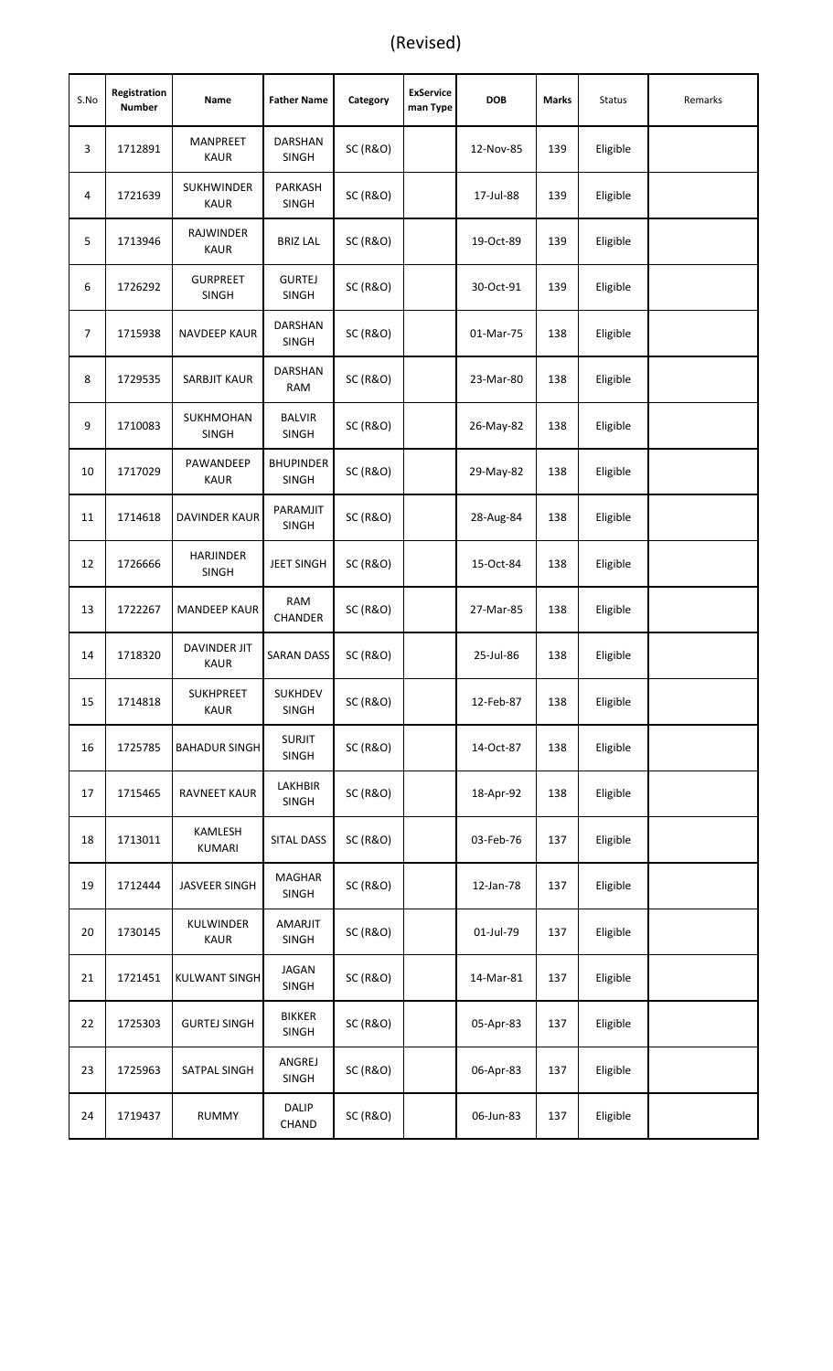| S.No | Registration<br><b>Number</b> | Name                               | <b>Father Name</b>        | Category            | <b>ExService</b><br>man Type | <b>DOB</b> | Marks | <b>Status</b> | Remarks |
|------|-------------------------------|------------------------------------|---------------------------|---------------------|------------------------------|------------|-------|---------------|---------|
| 3    | 1712891                       | <b>MANPREET</b><br><b>KAUR</b>     | <b>DARSHAN</b><br>SINGH   | <b>SC (R&amp;O)</b> |                              | 12-Nov-85  | 139   | Eligible      |         |
| 4    | 1721639                       | SUKHWINDER<br><b>KAUR</b>          | PARKASH<br>SINGH          | <b>SC (R&amp;O)</b> |                              | 17-Jul-88  | 139   | Eligible      |         |
| 5    | 1713946                       | RAJWINDER<br><b>KAUR</b>           | <b>BRIZ LAL</b>           | <b>SC (R&amp;O)</b> |                              | 19-Oct-89  | 139   | Eligible      |         |
| 6    | 1726292                       | <b>GURPREET</b><br>SINGH           | <b>GURTEJ</b><br>SINGH    | <b>SC (R&amp;O)</b> |                              | 30-Oct-91  | 139   | Eligible      |         |
| 7    | 1715938                       | <b>NAVDEEP KAUR</b>                | <b>DARSHAN</b><br>SINGH   | <b>SC (R&amp;O)</b> |                              | 01-Mar-75  | 138   | Eligible      |         |
| 8    | 1729535                       | SARBJIT KAUR                       | DARSHAN<br>RAM            | <b>SC (R&amp;O)</b> |                              | 23-Mar-80  | 138   | Eligible      |         |
| 9    | 1710083                       | SUKHMOHAN<br>SINGH                 | <b>BALVIR</b><br>SINGH    | <b>SC (R&amp;O)</b> |                              | 26-May-82  | 138   | Eligible      |         |
| 10   | 1717029                       | PAWANDEEP<br><b>KAUR</b>           | <b>BHUPINDER</b><br>SINGH | <b>SC (R&amp;O)</b> |                              | 29-May-82  | 138   | Eligible      |         |
| 11   | 1714618                       | DAVINDER KAUR                      | PARAMJIT<br>SINGH         | <b>SC (R&amp;O)</b> |                              | 28-Aug-84  | 138   | Eligible      |         |
| 12   | 1726666                       | HARJINDER<br>SINGH                 | <b>JEET SINGH</b>         | <b>SC (R&amp;O)</b> |                              | 15-Oct-84  | 138   | Eligible      |         |
| 13   | 1722267                       | <b>MANDEEP KAUR</b>                | RAM<br>CHANDER            | <b>SC (R&amp;O)</b> |                              | 27-Mar-85  | 138   | Eligible      |         |
| 14   | 1718320                       | <b>DAVINDER JIT</b><br><b>KAUR</b> | <b>SARAN DASS</b>         | <b>SC (R&amp;O)</b> |                              | 25-Jul-86  | 138   | Eligible      |         |
| 15   | 1714818                       | <b>SUKHPREET</b><br>KAUR           | SUKHDEV<br>SINGH          | <b>SC (R&amp;O)</b> |                              | 12-Feb-87  | 138   | Eligible      |         |
| 16   | 1725785                       | <b>BAHADUR SINGH</b>               | <b>SURJIT</b><br>SINGH    | <b>SC (R&amp;O)</b> |                              | 14-Oct-87  | 138   | Eligible      |         |
| 17   | 1715465                       | RAVNEET KAUR                       | <b>LAKHBIR</b><br>SINGH   | <b>SC (R&amp;O)</b> |                              | 18-Apr-92  | 138   | Eligible      |         |
| 18   | 1713011                       | KAMLESH<br>KUMARI                  | SITAL DASS                | <b>SC (R&amp;O)</b> |                              | 03-Feb-76  | 137   | Eligible      |         |
| 19   | 1712444                       | JASVEER SINGH                      | <b>MAGHAR</b><br>SINGH    | <b>SC (R&amp;O)</b> |                              | 12-Jan-78  | 137   | Eligible      |         |
| 20   | 1730145                       | KULWINDER<br>KAUR                  | AMARJIT<br>SINGH          | <b>SC (R&amp;O)</b> |                              | 01-Jul-79  | 137   | Eligible      |         |
| 21   | 1721451                       | <b>KULWANT SINGH</b>               | JAGAN<br>SINGH            | <b>SC (R&amp;O)</b> |                              | 14-Mar-81  | 137   | Eligible      |         |
| 22   | 1725303                       | <b>GURTEJ SINGH</b>                | <b>BIKKER</b><br>SINGH    | <b>SC (R&amp;O)</b> |                              | 05-Apr-83  | 137   | Eligible      |         |
| 23   | 1725963                       | SATPAL SINGH                       | ANGREJ<br>SINGH           | <b>SC (R&amp;O)</b> |                              | 06-Apr-83  | 137   | Eligible      |         |
| 24   | 1719437                       | <b>RUMMY</b>                       | <b>DALIP</b><br>CHAND     | <b>SC (R&amp;O)</b> |                              | 06-Jun-83  | 137   | Eligible      |         |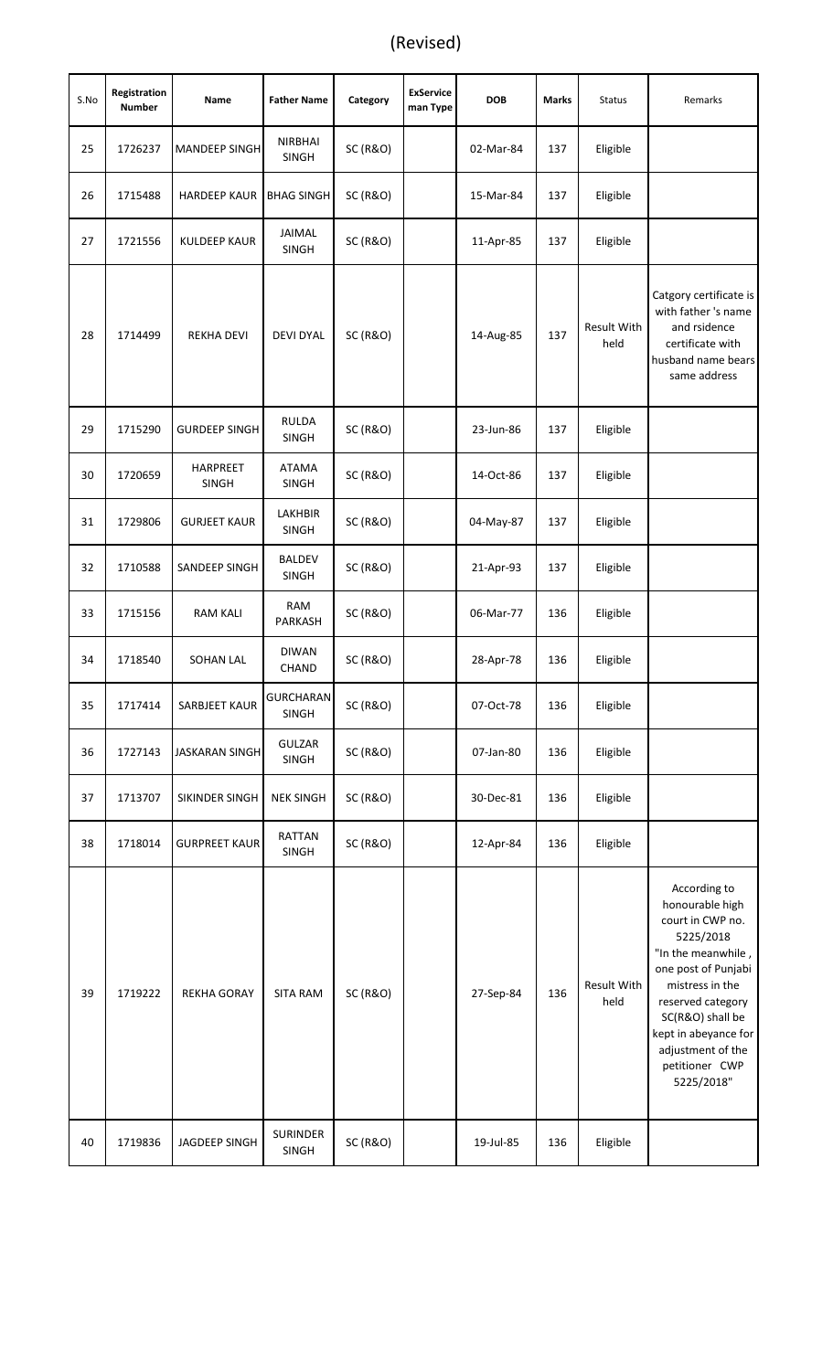| S.No | Registration<br><b>Number</b> | Name                     | <b>Father Name</b>        | Category            | <b>ExService</b><br>man Type | <b>DOB</b> | Marks | <b>Status</b>              | Remarks                                                                                                                                                                                                                                                |
|------|-------------------------------|--------------------------|---------------------------|---------------------|------------------------------|------------|-------|----------------------------|--------------------------------------------------------------------------------------------------------------------------------------------------------------------------------------------------------------------------------------------------------|
| 25   | 1726237                       | MANDEEP SINGH            | <b>NIRBHAI</b><br>SINGH   | <b>SC (R&amp;O)</b> |                              | 02-Mar-84  | 137   | Eligible                   |                                                                                                                                                                                                                                                        |
| 26   | 1715488                       | <b>HARDEEP KAUR</b>      | <b>BHAG SINGH</b>         | <b>SC (R&amp;O)</b> |                              | 15-Mar-84  | 137   | Eligible                   |                                                                                                                                                                                                                                                        |
| 27   | 1721556                       | <b>KULDEEP KAUR</b>      | JAIMAL<br>SINGH           | <b>SC (R&amp;O)</b> |                              | 11-Apr-85  | 137   | Eligible                   |                                                                                                                                                                                                                                                        |
| 28   | 1714499                       | <b>REKHA DEVI</b>        | <b>DEVI DYAL</b>          | <b>SC (R&amp;O)</b> |                              | 14-Aug-85  | 137   | <b>Result With</b><br>held | Catgory certificate is<br>with father 's name<br>and rsidence<br>certificate with<br>husband name bears<br>same address                                                                                                                                |
| 29   | 1715290                       | <b>GURDEEP SINGH</b>     | RULDA<br>SINGH            | <b>SC (R&amp;O)</b> |                              | 23-Jun-86  | 137   | Eligible                   |                                                                                                                                                                                                                                                        |
| 30   | 1720659                       | HARPREET<br><b>SINGH</b> | <b>ATAMA</b><br>SINGH     | <b>SC (R&amp;O)</b> |                              | 14-Oct-86  | 137   | Eligible                   |                                                                                                                                                                                                                                                        |
| 31   | 1729806                       | <b>GURJEET KAUR</b>      | LAKHBIR<br>SINGH          | <b>SC (R&amp;O)</b> |                              | 04-May-87  | 137   | Eligible                   |                                                                                                                                                                                                                                                        |
| 32   | 1710588                       | SANDEEP SINGH            | <b>BALDEV</b><br>SINGH    | <b>SC (R&amp;O)</b> |                              | 21-Apr-93  | 137   | Eligible                   |                                                                                                                                                                                                                                                        |
| 33   | 1715156                       | <b>RAM KALI</b>          | RAM<br>PARKASH            | <b>SC (R&amp;O)</b> |                              | 06-Mar-77  | 136   | Eligible                   |                                                                                                                                                                                                                                                        |
| 34   | 1718540                       | <b>SOHAN LAL</b>         | <b>DIWAN</b><br>CHAND     | <b>SC (R&amp;O)</b> |                              | 28-Apr-78  | 136   | Eligible                   |                                                                                                                                                                                                                                                        |
| 35   | 1717414                       | SARBJEET KAUR            | <b>GURCHARAN</b><br>SINGH | <b>SC (R&amp;O)</b> |                              | 07-Oct-78  | 136   | Eligible                   |                                                                                                                                                                                                                                                        |
| 36   | 1727143                       | <b>JASKARAN SINGH</b>    | GULZAR<br>SINGH           | <b>SC (R&amp;O)</b> |                              | 07-Jan-80  | 136   | Eligible                   |                                                                                                                                                                                                                                                        |
| 37   | 1713707                       | SIKINDER SINGH           | <b>NEK SINGH</b>          | <b>SC (R&amp;O)</b> |                              | 30-Dec-81  | 136   | Eligible                   |                                                                                                                                                                                                                                                        |
| 38   | 1718014                       | <b>GURPREET KAUR</b>     | RATTAN<br>SINGH           | <b>SC (R&amp;O)</b> |                              | 12-Apr-84  | 136   | Eligible                   |                                                                                                                                                                                                                                                        |
| 39   | 1719222                       | <b>REKHA GORAY</b>       | SITA RAM                  | <b>SC (R&amp;O)</b> |                              | 27-Sep-84  | 136   | Result With<br>held        | According to<br>honourable high<br>court in CWP no.<br>5225/2018<br>"In the meanwhile,<br>one post of Punjabi<br>mistress in the<br>reserved category<br>SC(R&O) shall be<br>kept in abeyance for<br>adjustment of the<br>petitioner CWP<br>5225/2018" |
| 40   | 1719836                       | JAGDEEP SINGH            | <b>SURINDER</b><br>SINGH  | <b>SC (R&amp;O)</b> |                              | 19-Jul-85  | 136   | Eligible                   |                                                                                                                                                                                                                                                        |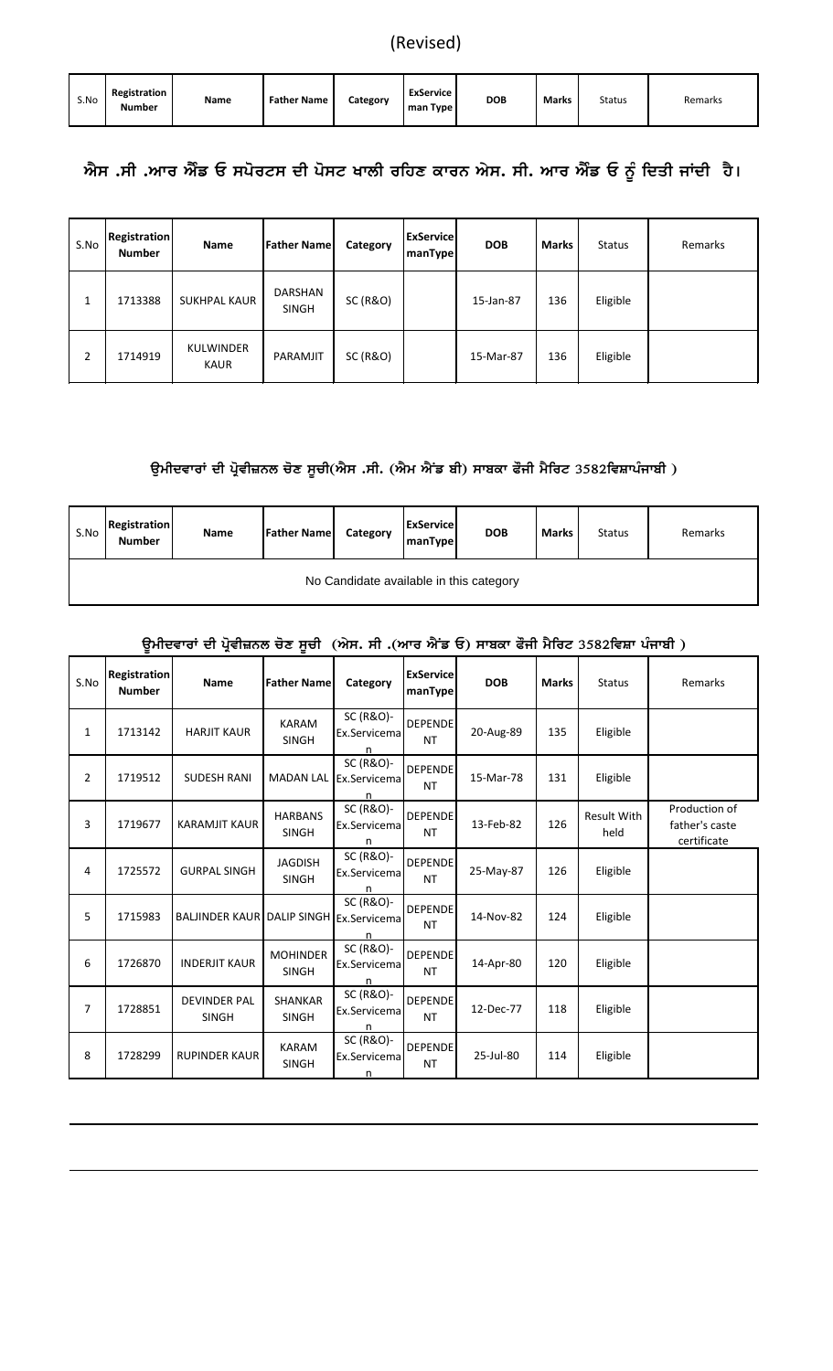| S.No | <b>Registration</b><br>Number | Name | <b>Father Name</b> | Category | <b>ExService</b><br>man Type | <b>DOB</b> | Marks | <b>Status</b> | Remarks |
|------|-------------------------------|------|--------------------|----------|------------------------------|------------|-------|---------------|---------|
|      |                               |      |                    |          |                              |            |       |               |         |

## <mark>ਐਸ .ਸੀ .ਆਰ ਐਂਡ ਓ ਸਪੋਰਟਸ ਦੀ ਪੋਸਟ ਖਾਲੀ ਰਹਿਣ ਕਾਰਨ ਅੇਸ. ਸੀ. ਆਰ ਐਂਡ ਓ ਨੂੰ ਦਿਤੀ ਜਾਂਦੀ ਹੈ।</mark>

| S.No | Registration<br><b>Number</b> | Name                            | <b>Father Namel</b>     | Category | <b>ExService</b><br>manType | <b>DOB</b> | Marks | <b>Status</b> | Remarks |
|------|-------------------------------|---------------------------------|-------------------------|----------|-----------------------------|------------|-------|---------------|---------|
| 1    | 1713388                       | <b>SUKHPAL KAUR</b>             | DARSHAN<br><b>SINGH</b> | SC (R&O) |                             | 15-Jan-87  | 136   | Eligible      |         |
| 2    | 1714919                       | <b>KULWINDER</b><br><b>KAUR</b> | PARAMJIT                | SC (R&O) |                             | 15-Mar-87  | 136   | Eligible      |         |

#### ਉਮੀਦਵਾਰਾਂ ਦੀ ਪ੍ਰੋਵੀਜ਼ਨਲ ਚੋਣ ਸੂਚੀ(ਐਸ .ਸੀ. (ਐਮ ਐਂਡ ਬੀ) ਸਾਬਕਾ ਫੌਜੀ ਮੈਰਿਟ 3582ਵਿਸ਼ਾਪੰਜਾਬੀ )

| S.No | Registration<br><b>Number</b> | <b>Name</b> | <b>Father Name</b> | Category                                | <b>ExService</b><br>manType | <b>DOB</b> | Marks | <b>Status</b> | Remarks |
|------|-------------------------------|-------------|--------------------|-----------------------------------------|-----------------------------|------------|-------|---------------|---------|
|      |                               |             |                    | No Candidate available in this category |                             |            |       |               |         |

#### ਊਮੀਦਵਾਰਾਂ ਦੀ ਪ੍ਰੋਵੀਜ਼ਨਲ ਚੋਣ ਸੂਚੀ (ਐਸ. ਸੀ .(ਆਰ ਐਂਡ ਓ) ਸਾਬਕਾ ਫੌਜੀ ਮੈਰਿਟ 3582ਵਿਸ਼ਾ ਪੰਜਾਬੀ )

| S.No | <b>Registration</b><br><b>Number</b> | <b>Name</b>                         | <b>Father Name</b>              | Category                       | <b>ExService</b><br>manType | <b>DOB</b> | <b>Marks</b> | <b>Status</b>              | Remarks                                        |
|------|--------------------------------------|-------------------------------------|---------------------------------|--------------------------------|-----------------------------|------------|--------------|----------------------------|------------------------------------------------|
| 1    | 1713142                              | <b>HARJIT KAUR</b>                  | <b>KARAM</b><br>SINGH           | SC (R&O)-<br>Ex.Servicema<br>n | <b>DEPENDE</b><br><b>NT</b> | 20-Aug-89  | 135          | Eligible                   |                                                |
| 2    | 1719512                              | <b>SUDESH RANI</b>                  | <b>MADAN LAL</b>                | SC (R&O)-<br>Ex.Servicema<br>n | <b>DEPENDE</b><br><b>NT</b> | 15-Mar-78  | 131          | Eligible                   |                                                |
| 3    | 1719677                              | <b>KARAMJIT KAUR</b>                | <b>HARBANS</b><br><b>SINGH</b>  | SC (R&O)-<br>Ex.Servicema<br>n | <b>DEPENDE</b><br><b>NT</b> | 13-Feb-82  | 126          | <b>Result With</b><br>held | Production of<br>father's caste<br>certificate |
| 4    | 1725572                              | <b>GURPAL SINGH</b>                 | <b>JAGDISH</b><br><b>SINGH</b>  | SC (R&O)-<br>Ex.Servicema<br>n | <b>DEPENDE</b><br><b>NT</b> | 25-May-87  | 126          | Eligible                   |                                                |
| 5    | 1715983                              | BALJINDER KAUR DALIP SINGH          |                                 | SC (R&O)-<br>Ex.Servicema      | <b>DEPENDE</b><br><b>NT</b> | 14-Nov-82  | 124          | Eligible                   |                                                |
| 6    | 1726870                              | <b>INDERJIT KAUR</b>                | <b>MOHINDER</b><br><b>SINGH</b> | SC (R&O)-<br>Ex.Servicema      | <b>DEPENDE</b><br><b>NT</b> | 14-Apr-80  | 120          | Eligible                   |                                                |
| 7    | 1728851                              | <b>DEVINDER PAL</b><br><b>SINGH</b> | <b>SHANKAR</b><br><b>SINGH</b>  | SC (R&O)-<br>Ex.Servicema<br>n | <b>DEPENDE</b><br><b>NT</b> | 12-Dec-77  | 118          | Eligible                   |                                                |
| 8    | 1728299                              | <b>RUPINDER KAUR</b>                | <b>KARAM</b><br><b>SINGH</b>    | SC (R&O)-<br>Ex.Servicema<br>n | <b>DEPENDE</b><br><b>NT</b> | 25-Jul-80  | 114          | Eligible                   |                                                |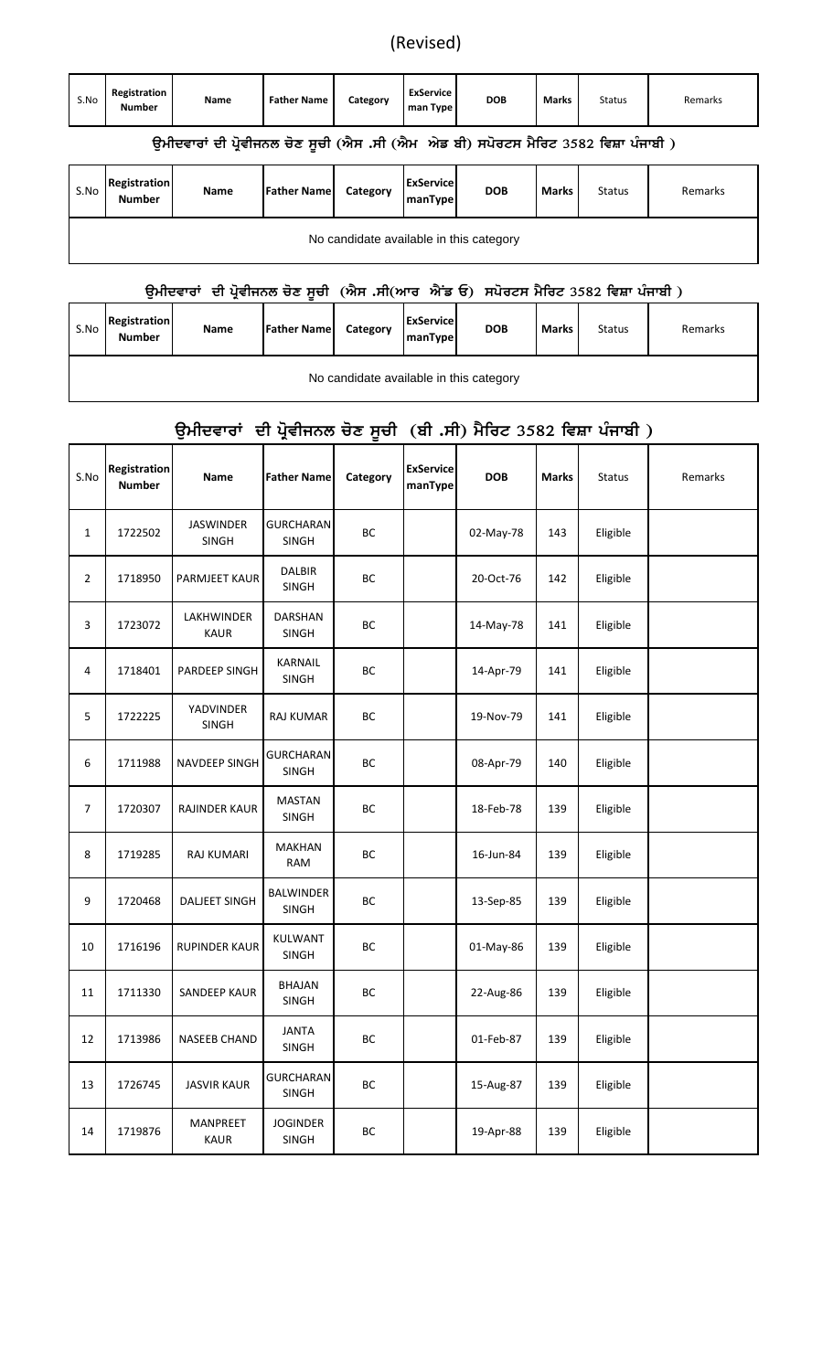| S.No | Registration<br><b>Number</b>                                                      | Name                                                                                 | <b>Father Name</b> | Category | <b>ExService</b><br>man Type | <b>DOB</b> | Marks        | <b>Status</b> | Remarks |  |  |
|------|------------------------------------------------------------------------------------|--------------------------------------------------------------------------------------|--------------------|----------|------------------------------|------------|--------------|---------------|---------|--|--|
|      |                                                                                    | ਉਮੀਦਵਾਰਾਂ ਦੀ ਪ੍ਰੋਵੀਜਨਲ ਚੋਣ ਸੂਚੀ (ਐਸ .ਸੀ (ਐਮ ਅੇਡ ਬੀ) ਸਪੋਰਟਸ ਮੈਰਿਟ 3582 ਵਿਸ਼ਾ ਪੰਜਾਬੀ ) |                    |          |                              |            |              |               |         |  |  |
| S.No | <b>Registration</b><br><b>Number</b>                                               | Name                                                                                 | lFather Namel      | Category | <b>ExService</b><br>manType  | <b>DOB</b> | <b>Marks</b> | <b>Status</b> | Remarks |  |  |
|      | No candidate available in this category                                            |                                                                                      |                    |          |                              |            |              |               |         |  |  |
|      | ਉਮੀਦਵਾਰਾਂ ਦੀ ਪ੍ਰੋਵੀਜਨਲ ਚੋਣ ਸੂਚੀ (ਐਸ .ਸੀ(ਆਰ ਐਂਡ ਓ) ਸਪੋਰਟਸ ਮੈਰਿਟ 3582 ਵਿਸ਼ਾ ਪੰਜਾਬੀ ) |                                                                                      |                    |          |                              |            |              |               |         |  |  |

| S.No | <b>Registration</b><br><b>Number</b> | <b>Name</b> | <b>Father Name</b> | Category                                | <b>ExService</b><br>manType | <b>DOB</b> | Marks | <b>Status</b> | Remarks |
|------|--------------------------------------|-------------|--------------------|-----------------------------------------|-----------------------------|------------|-------|---------------|---------|
|      |                                      |             |                    | No candidate available in this category |                             |            |       |               |         |

# ਉਮੀਦਵਾਰਾਂ ਦੀ ਪ੍ਰੋਵੀਜਨਲ ਚੋਣ ਸੂਚੀ (ਬੀ .ਸੀ) ਮੈਰਿਟ 3582 ਵਿਸ਼ਾ ਪੰਜਾਬੀ )

| S.No           | Registration<br><b>Number</b> | Name                             | <b>Father Name</b>               | Category | <b>ExService</b><br>manType | <b>DOB</b> | <b>Marks</b> | <b>Status</b> | Remarks |
|----------------|-------------------------------|----------------------------------|----------------------------------|----------|-----------------------------|------------|--------------|---------------|---------|
| $\mathbf{1}$   | 1722502                       | <b>JASWINDER</b><br><b>SINGH</b> | <b>GURCHARAN</b><br><b>SINGH</b> | ВC       |                             | 02-May-78  | 143          | Eligible      |         |
| $\overline{2}$ | 1718950                       | PARMJEET KAUR                    | DALBIR<br><b>SINGH</b>           | BC       |                             | 20-Oct-76  | 142          | Eligible      |         |
| 3              | 1723072                       | LAKHWINDER<br><b>KAUR</b>        | DARSHAN<br><b>SINGH</b>          | ВC       |                             | 14-May-78  | 141          | Eligible      |         |
| 4              | 1718401                       | PARDEEP SINGH                    | KARNAIL<br><b>SINGH</b>          | BC       |                             | 14-Apr-79  | 141          | Eligible      |         |
| 5              | 1722225                       | YADVINDER<br>SINGH               | <b>RAJ KUMAR</b>                 | ВC       |                             | 19-Nov-79  | 141          | Eligible      |         |
| 6              | 1711988                       | NAVDEEP SINGH                    | <b>GURCHARAN</b><br><b>SINGH</b> | ВC       |                             | 08-Apr-79  | 140          | Eligible      |         |
| $\overline{7}$ | 1720307                       | RAJINDER KAUR                    | <b>MASTAN</b><br><b>SINGH</b>    | ВC       |                             | 18-Feb-78  | 139          | Eligible      |         |
| 8              | 1719285                       | RAJ KUMARI                       | <b>MAKHAN</b><br>RAM             | ВC       |                             | 16-Jun-84  | 139          | Eligible      |         |
| 9              | 1720468                       | <b>DALJEET SINGH</b>             | BALWINDER<br>SINGH               | BC       |                             | 13-Sep-85  | 139          | Eligible      |         |
| 10             | 1716196                       | RUPINDER KAUR                    | KULWANT<br>SINGH                 | ВC       |                             | 01-May-86  | 139          | Eligible      |         |
| 11             | 1711330                       | SANDEEP KAUR                     | <b>BHAJAN</b><br><b>SINGH</b>    | BC       |                             | 22-Aug-86  | 139          | Eligible      |         |
| 12             | 1713986                       | <b>NASEEB CHAND</b>              | <b>JANTA</b><br><b>SINGH</b>     | ВC       |                             | 01-Feb-87  | 139          | Eligible      |         |
| 13             | 1726745                       | <b>JASVIR KAUR</b>               | <b>GURCHARAN</b><br><b>SINGH</b> | BC       |                             | 15-Aug-87  | 139          | Eligible      |         |
| 14             | 1719876                       | MANPREET<br><b>KAUR</b>          | <b>JOGINDER</b><br><b>SINGH</b>  | ВC       |                             | 19-Apr-88  | 139          | Eligible      |         |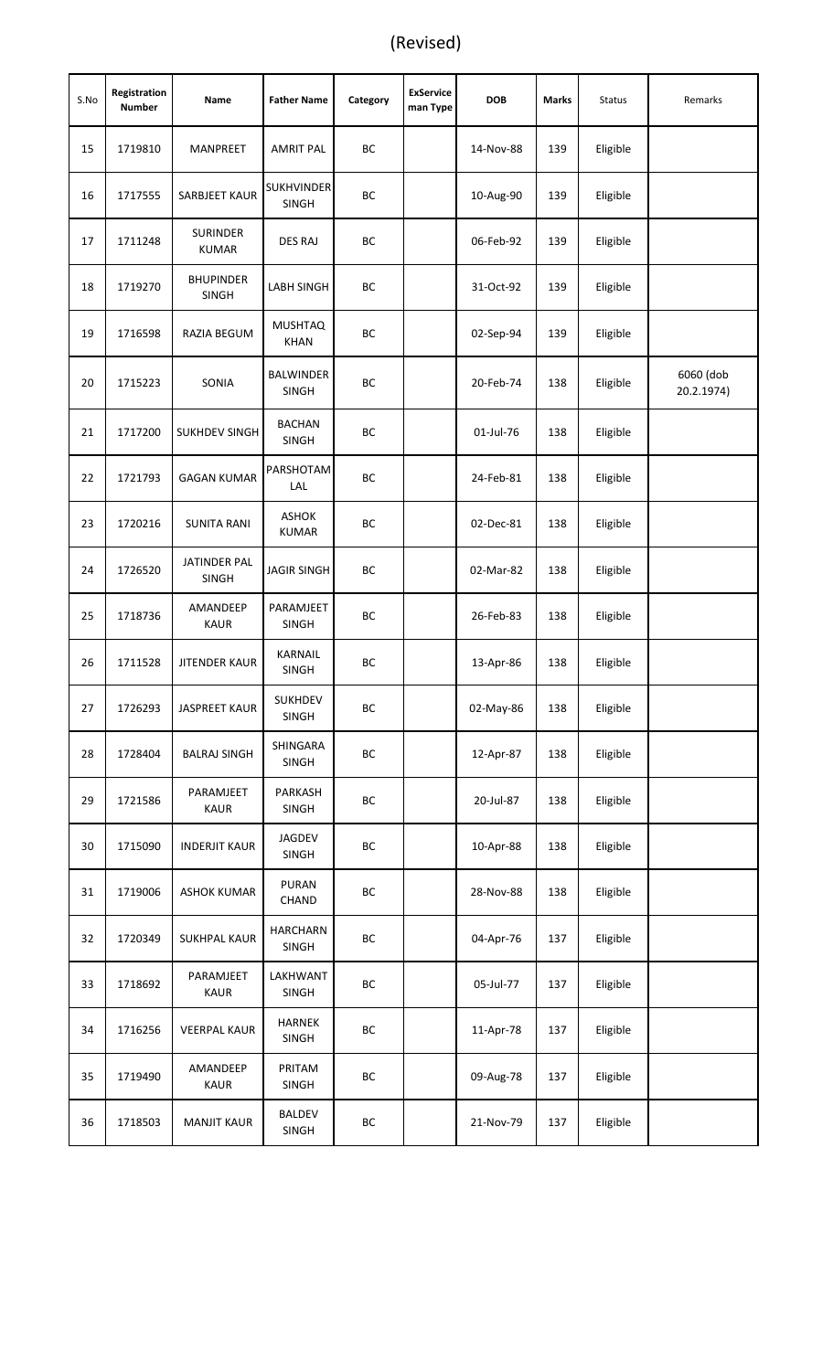| S.No | Registration<br><b>Number</b> | Name                             | <b>Father Name</b>            | Category | <b>ExService</b><br>man Type | <b>DOB</b> | Marks | <b>Status</b> | Remarks                 |
|------|-------------------------------|----------------------------------|-------------------------------|----------|------------------------------|------------|-------|---------------|-------------------------|
| 15   | 1719810                       | MANPREET                         | <b>AMRIT PAL</b>              | BC       |                              | 14-Nov-88  | 139   | Eligible      |                         |
| 16   | 1717555                       | SARBJEET KAUR                    | <b>SUKHVINDER</b><br>SINGH    | BC       |                              | 10-Aug-90  | 139   | Eligible      |                         |
| 17   | 1711248                       | SURINDER<br><b>KUMAR</b>         | DES RAJ                       | BC       |                              | 06-Feb-92  | 139   | Eligible      |                         |
| 18   | 1719270                       | <b>BHUPINDER</b><br><b>SINGH</b> | <b>LABH SINGH</b>             | BC       |                              | 31-Oct-92  | 139   | Eligible      |                         |
| 19   | 1716598                       | RAZIA BEGUM                      | <b>MUSHTAQ</b><br><b>KHAN</b> | BC       |                              | 02-Sep-94  | 139   | Eligible      |                         |
| 20   | 1715223                       | SONIA                            | <b>BALWINDER</b><br>SINGH     | BC       |                              | 20-Feb-74  | 138   | Eligible      | 6060 (dob<br>20.2.1974) |
| 21   | 1717200                       | <b>SUKHDEV SINGH</b>             | <b>BACHAN</b><br>SINGH        | ВC       |                              | 01-Jul-76  | 138   | Eligible      |                         |
| 22   | 1721793                       | <b>GAGAN KUMAR</b>               | PARSHOTAM<br>LAL              | BC       |                              | 24-Feb-81  | 138   | Eligible      |                         |
| 23   | 1720216                       | <b>SUNITA RANI</b>               | <b>ASHOK</b><br><b>KUMAR</b>  | BC       |                              | 02-Dec-81  | 138   | Eligible      |                         |
| 24   | 1726520                       | JATINDER PAL<br>SINGH            | <b>JAGIR SINGH</b>            | BC       |                              | 02-Mar-82  | 138   | Eligible      |                         |
| 25   | 1718736                       | AMANDEEP<br><b>KAUR</b>          | PARAMJEET<br>SINGH            | ВC       |                              | 26-Feb-83  | 138   | Eligible      |                         |
| 26   | 1711528                       | <b>JITENDER KAUR</b>             | KARNAIL<br>SINGH              | BC       |                              | 13-Apr-86  | 138   | Eligible      |                         |
| 27   | 1726293                       | JASPREET KAUR                    | <b>SUKHDEV</b><br>SINGH       | BC       |                              | 02-May-86  | 138   | Eligible      |                         |
| 28   | 1728404                       | <b>BALRAJ SINGH</b>              | SHINGARA<br>SINGH             | ВC       |                              | 12-Apr-87  | 138   | Eligible      |                         |
| 29   | 1721586                       | PARAMJEET<br><b>KAUR</b>         | PARKASH<br>SINGH              | BC       |                              | 20-Jul-87  | 138   | Eligible      |                         |
| 30   | 1715090                       | <b>INDERJIT KAUR</b>             | JAGDEV<br>SINGH               | BC       |                              | 10-Apr-88  | 138   | Eligible      |                         |
| 31   | 1719006                       | <b>ASHOK KUMAR</b>               | <b>PURAN</b><br>CHAND         | ВC       |                              | 28-Nov-88  | 138   | Eligible      |                         |
| 32   | 1720349                       | <b>SUKHPAL KAUR</b>              | <b>HARCHARN</b><br>SINGH      | BC       |                              | 04-Apr-76  | 137   | Eligible      |                         |
| 33   | 1718692                       | PARAMJEET<br>KAUR                | LAKHWANT<br>SINGH             | BC       |                              | 05-Jul-77  | 137   | Eligible      |                         |
| 34   | 1716256                       | <b>VEERPAL KAUR</b>              | <b>HARNEK</b><br>SINGH        | ВC       |                              | 11-Apr-78  | 137   | Eligible      |                         |
| 35   | 1719490                       | AMANDEEP<br><b>KAUR</b>          | PRITAM<br>SINGH               | BC       |                              | 09-Aug-78  | 137   | Eligible      |                         |
| 36   | 1718503                       | <b>MANJIT KAUR</b>               | BALDEV<br>SINGH               | ВC       |                              | 21-Nov-79  | 137   | Eligible      |                         |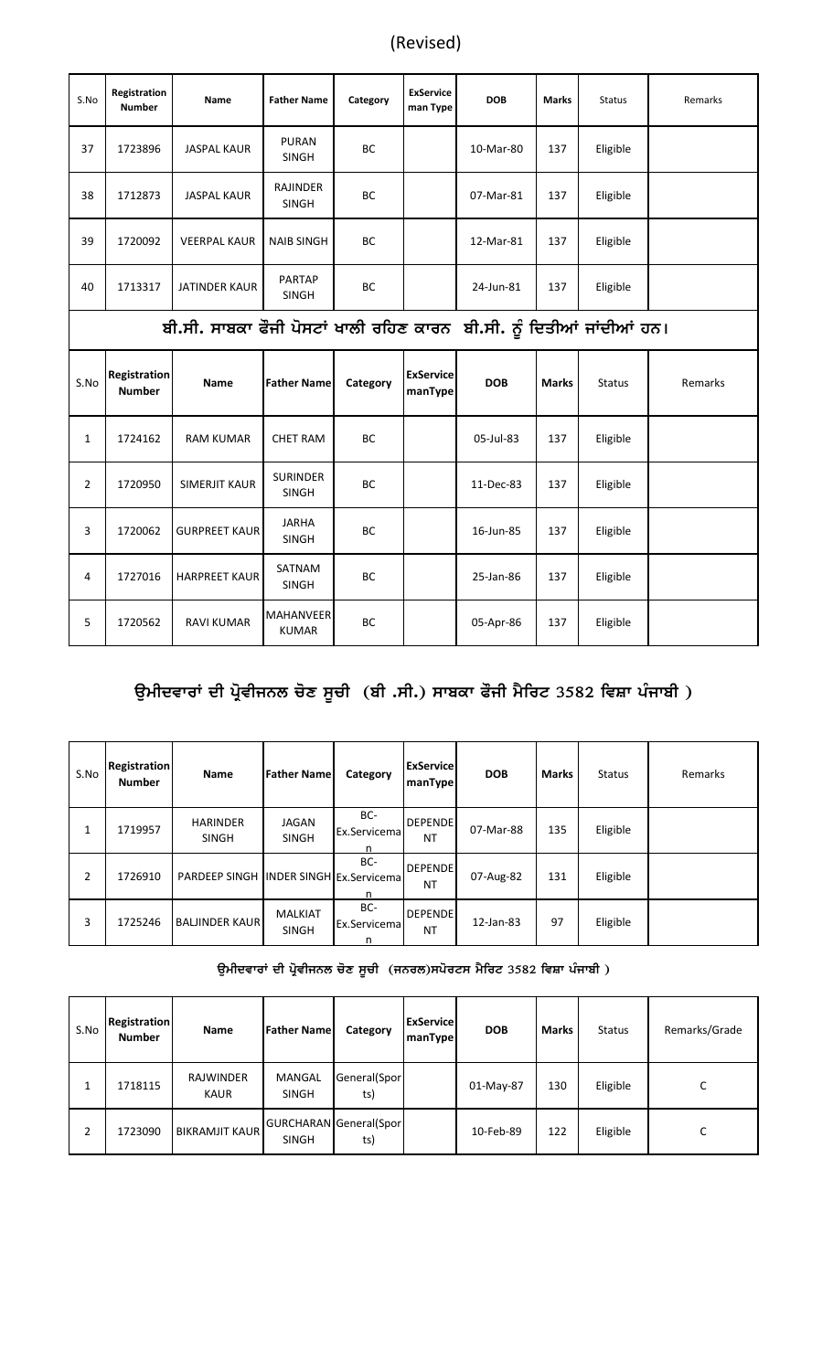| S.No           | Registration<br><b>Number</b> | Name                                                                  | <b>Father Name</b>              | Category  | <b>ExService</b><br>man Type | <b>DOB</b> | <b>Marks</b> | <b>Status</b> | Remarks |
|----------------|-------------------------------|-----------------------------------------------------------------------|---------------------------------|-----------|------------------------------|------------|--------------|---------------|---------|
| 37             | 1723896                       | <b>JASPAL KAUR</b>                                                    | <b>PURAN</b><br>SINGH           | BC        |                              | 10-Mar-80  | 137          | Eligible      |         |
| 38             | 1712873                       | <b>JASPAL KAUR</b>                                                    | <b>RAJINDER</b><br><b>SINGH</b> | BC        |                              | 07-Mar-81  | 137          | Eligible      |         |
| 39             | 1720092                       | <b>VEERPAL KAUR</b>                                                   | <b>NAIB SINGH</b>               | BC        |                              | 12-Mar-81  | 137          | Eligible      |         |
| 40             | 1713317                       | <b>JATINDER KAUR</b>                                                  | <b>PARTAP</b><br>SINGH          | BC        |                              | 24-Jun-81  | 137          | Eligible      |         |
|                |                               | ਬੀ.ਸੀ. ਸਾਬਕਾ ਫੌਜੀ ਪੋਸਟਾਂ ਖਾਲੀ ਰਹਿਣ ਕਾਰਨ ਬੀ.ਸੀ. ਨੂੰ ਦਿਤੀਆਂ ਜਾਂਦੀਆਂ ਹਨ। |                                 |           |                              |            |              |               |         |
|                |                               |                                                                       |                                 |           |                              |            |              |               |         |
| S.No           | Registration<br><b>Number</b> | Name                                                                  | <b>Father Name</b>              | Category  | <b>ExService</b><br>manType  | <b>DOB</b> | <b>Marks</b> | <b>Status</b> | Remarks |
| 1              | 1724162                       | <b>RAM KUMAR</b>                                                      | <b>CHET RAM</b>                 | <b>BC</b> |                              | 05-Jul-83  | 137          | Eligible      |         |
| $\overline{2}$ | 1720950                       | <b>SIMERJIT KAUR</b>                                                  | <b>SURINDER</b><br><b>SINGH</b> | BC        |                              | 11-Dec-83  | 137          | Eligible      |         |
| 3              | 1720062                       | <b>GURPREET KAUR</b>                                                  | <b>JARHA</b><br><b>SINGH</b>    | BC        |                              | 16-Jun-85  | 137          | Eligible      |         |
| 4              | 1727016                       | <b>HARPREET KAUR</b>                                                  | SATNAM<br><b>SINGH</b>          | BC        |                              | 25-Jan-86  | 137          | Eligible      |         |

# ਉਮੀਦਵਾਰਾਂ ਦੀ ਪ੍ਰੋਵੀਜਨਲ ਚੋਣ ਸੂਚੀ (ਬੀ .ਸੀ.) ਸਾਬਕਾ ਫੌਜੀ ਮੈਰਿਟ 3582 ਵਿਸ਼ਾ ਪੰਜਾਬੀ )

| S.No | Registration<br><b>Number</b> | <b>Name</b>                               | <b>Father Namel</b>            | Category                  | <b>ExService</b><br>manType | <b>DOB</b> | <b>Marks</b> | <b>Status</b> | Remarks |
|------|-------------------------------|-------------------------------------------|--------------------------------|---------------------------|-----------------------------|------------|--------------|---------------|---------|
|      | 1719957                       | <b>HARINDER</b><br><b>SINGH</b>           | <b>JAGAN</b><br><b>SINGH</b>   | BC-<br>Ex.Servicema<br>n  | <b>DEPENDE</b><br><b>NT</b> | 07-Mar-88  | 135          | Eligible      |         |
| 2    | 1726910                       | PARDEEP SINGH   INDER SINGH Ex. Servicema |                                | BC-<br>n                  | <b>DEPENDE</b><br><b>NT</b> | 07-Aug-82  | 131          | Eligible      |         |
| 3    | 1725246                       | <b>BALJINDER KAUR</b>                     | <b>MALKIAT</b><br><b>SINGH</b> | BC-<br>Ex.Servicemal<br>n | <b>DEPENDE</b><br><b>NT</b> | 12-Jan-83  | 97           | Eligible      |         |

ਉਮੀਦਵਾਰਾਂ ਦੀ ਪ੍ਰੋਵੀਜਨਲ ਚੋਣ ਸੂਚੀ (ਜਨਰਲ)ਸਪੋਰਟਸ ਮੈਰਿਟ 3582 ਵਿਸ਼ਾ ਪੰਜਾਬੀ )

| S.No | <b>Registration</b><br><b>Number</b> | Name                     | <b>Father Namel</b>                    | Category            | <b>ExService</b><br>manType | <b>DOB</b> | Marks | <b>Status</b> | Remarks/Grade |
|------|--------------------------------------|--------------------------|----------------------------------------|---------------------|-----------------------------|------------|-------|---------------|---------------|
|      | 1718115                              | RAJWINDER<br><b>KAUR</b> | MANGAL<br><b>SINGH</b>                 | General(Spor<br>ts) |                             | 01-May-87  | 130   | Eligible      |               |
| ำ    | 1723090                              | <b>BIKRAMJIT KAUR</b>    | GURCHARAN General(Spor<br><b>SINGH</b> | ts)                 |                             | 10-Feb-89  | 122   | Eligible      |               |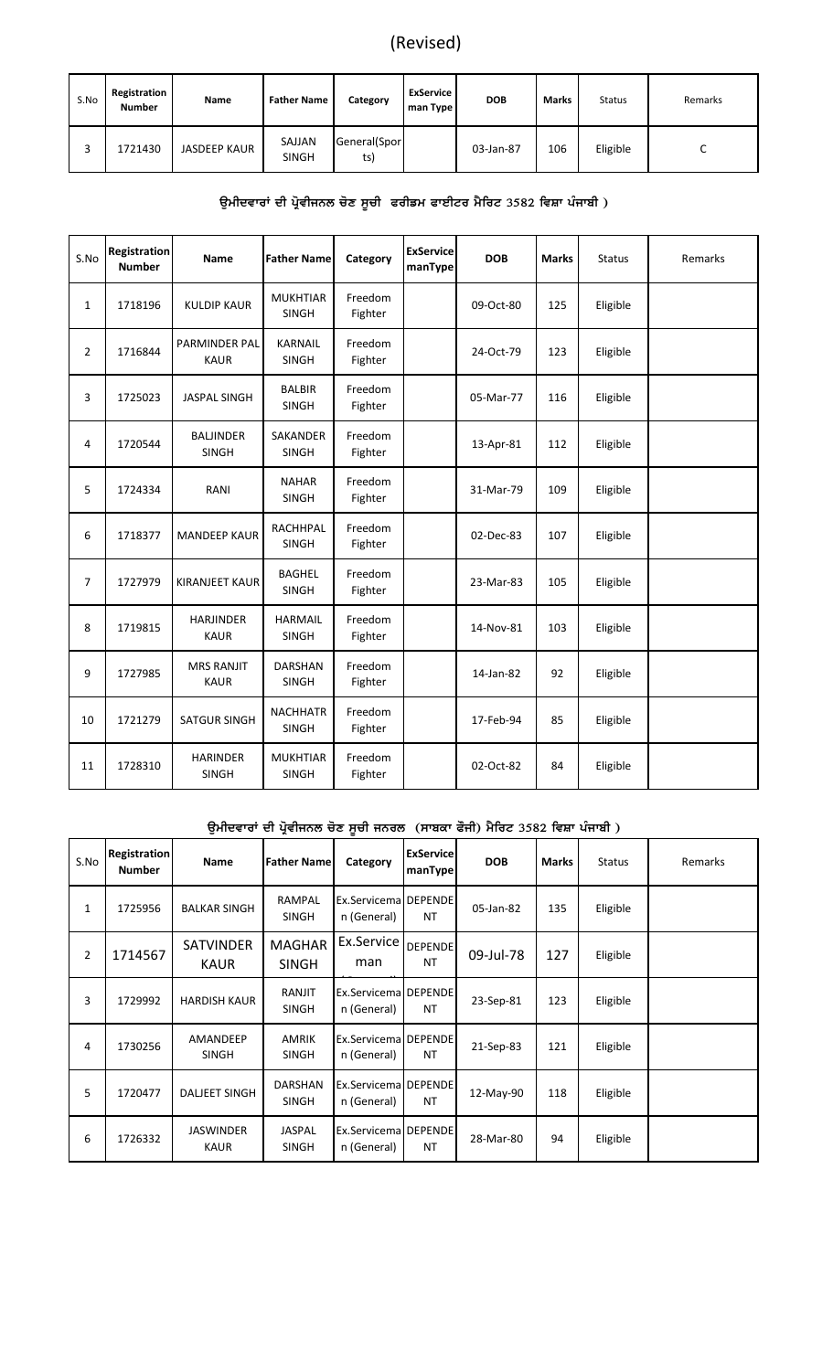| S.No | Registration<br><b>Number</b> | Name                | <b>Father Name</b>     | Category            | <b>ExService</b><br>man Type | <b>DOB</b> | Marks | <b>Status</b> | Remarks |
|------|-------------------------------|---------------------|------------------------|---------------------|------------------------------|------------|-------|---------------|---------|
|      | 1721430                       | <b>JASDEEP KAUR</b> | SAJJAN<br><b>SINGH</b> | General(Spor<br>ts) |                              | 03-Jan-87  | 106   | Eligible      | ∼       |

#### ਉਮੀਦਵਾਰਾਂ ਦੀ ਪ੍ਰੋਵੀਜਨਲ ਚੋਣ ਸੂਚੀ ਫਰੀਡਮ ਫਾਈਟਰ ਮੈਰਿਟ 3582 ਵਿਸ਼ਾ ਪੰਜਾਬੀ )

| S.No           | Registration<br><b>Number</b> | <b>Name</b>                         | <b>Father Name</b>              | Category           | <b>ExService</b><br>manType | <b>DOB</b> | <b>Marks</b> | <b>Status</b> | Remarks |
|----------------|-------------------------------|-------------------------------------|---------------------------------|--------------------|-----------------------------|------------|--------------|---------------|---------|
| 1              | 1718196                       | <b>KULDIP KAUR</b>                  | <b>MUKHTIAR</b><br><b>SINGH</b> | Freedom<br>Fighter |                             | 09-Oct-80  | 125          | Eligible      |         |
| $\overline{2}$ | 1716844                       | <b>PARMINDER PAL</b><br><b>KAUR</b> | <b>KARNAIL</b><br><b>SINGH</b>  | Freedom<br>Fighter |                             | 24-Oct-79  | 123          | Eligible      |         |
| 3              | 1725023                       | <b>JASPAL SINGH</b>                 | <b>BALBIR</b><br><b>SINGH</b>   | Freedom<br>Fighter |                             | 05-Mar-77  | 116          | Eligible      |         |
| 4              | 1720544                       | <b>BALJINDER</b><br><b>SINGH</b>    | <b>SAKANDER</b><br><b>SINGH</b> | Freedom<br>Fighter |                             | 13-Apr-81  | 112          | Eligible      |         |
| 5              | 1724334                       | RANI                                | <b>NAHAR</b><br><b>SINGH</b>    | Freedom<br>Fighter |                             | 31-Mar-79  | 109          | Eligible      |         |
| 6              | 1718377                       | <b>MANDEEP KAUR</b>                 | RACHHPAL<br><b>SINGH</b>        | Freedom<br>Fighter |                             | 02-Dec-83  | 107          | Eligible      |         |
| $\overline{7}$ | 1727979                       | KIRANJEET KAUR                      | <b>BAGHEL</b><br><b>SINGH</b>   | Freedom<br>Fighter |                             | 23-Mar-83  | 105          | Eligible      |         |
| 8              | 1719815                       | <b>HARJINDER</b><br><b>KAUR</b>     | <b>HARMAIL</b><br><b>SINGH</b>  | Freedom<br>Fighter |                             | 14-Nov-81  | 103          | Eligible      |         |
| 9              | 1727985                       | <b>MRS RANJIT</b><br><b>KAUR</b>    | <b>DARSHAN</b><br>SINGH         | Freedom<br>Fighter |                             | 14-Jan-82  | 92           | Eligible      |         |
| 10             | 1721279                       | <b>SATGUR SINGH</b>                 | <b>NACHHATR</b><br>SINGH        | Freedom<br>Fighter |                             | 17-Feb-94  | 85           | Eligible      |         |
| 11             | 1728310                       | <b>HARINDER</b><br><b>SINGH</b>     | <b>MUKHTIAR</b><br><b>SINGH</b> | Freedom<br>Fighter |                             | 02-Oct-82  | 84           | Eligible      |         |

## ਉਮੀਦਵਾਰਾਂ ਦੀ ਪ੍ਰੋਵੀਜਨਲ ਚੋਣ ਸੂਚੀ ਜਨਰਲ (ਸਾਬਕਾ ਫੌਜੀ) ਮੈਰਿਟ 3582 ਵਿਸ਼ਾ ਪੰਜਾਬੀ )

| S.No           | <b>Registration</b><br><b>Number</b> | Name                            | <b>Father Namel</b>            | Category                              | <b>ExService</b><br>manType | <b>DOB</b> | <b>Marks</b> | <b>Status</b> | Remarks |
|----------------|--------------------------------------|---------------------------------|--------------------------------|---------------------------------------|-----------------------------|------------|--------------|---------------|---------|
| 1              | 1725956                              | <b>BALKAR SINGH</b>             | RAMPAL<br><b>SINGH</b>         | Ex.ServicemalDEPENDE<br>n (General)   | NT                          | 05-Jan-82  | 135          | Eligible      |         |
| $\overline{2}$ | 1714567                              | <b>SATVINDER</b><br><b>KAUR</b> | <b>MAGHAR</b><br><b>SINGH</b>  | Ex.Service<br>man                     | <b>DEPENDE</b><br>NT        | 09-Jul-78  | 127          | Eligible      |         |
| 3              | 1729992                              | <b>HARDISH KAUR</b>             | RANJIT<br><b>SINGH</b>         | Ex.Servicema   DEPENDE<br>n (General) | <b>NT</b>                   | 23-Sep-81  | 123          | Eligible      |         |
| 4              | 1730256                              | <b>AMANDEEP</b><br>SINGH        | <b>AMRIK</b><br><b>SINGH</b>   | Ex.Servicema DEPENDE<br>n (General)   | NT                          | 21-Sep-83  | 121          | Eligible      |         |
| 5              | 1720477                              | <b>DALJEET SINGH</b>            | <b>DARSHAN</b><br><b>SINGH</b> | Ex.Servicema DEPENDE<br>n (General)   | NT                          | 12-May-90  | 118          | Eligible      |         |
| 6              | 1726332                              | <b>JASWINDER</b><br><b>KAUR</b> | JASPAL<br><b>SINGH</b>         | Ex.Servicema DEPENDE<br>n (General)   | NT                          | 28-Mar-80  | 94           | Eligible      |         |